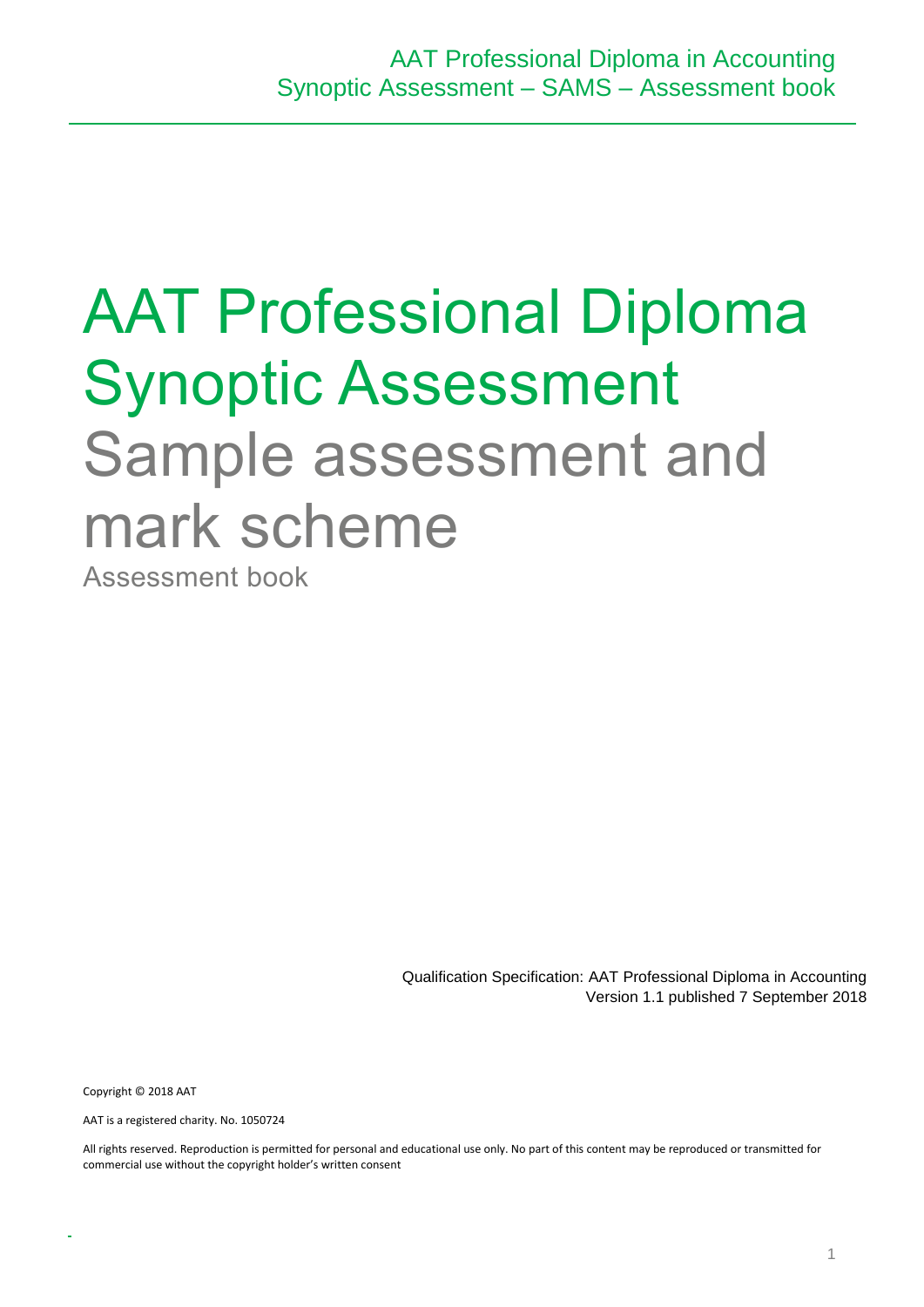# AAT Professional Diploma Synoptic Assessment Sample assessment and mark scheme

Assessment book

Qualification Specification: AAT Professional Diploma in Accounting Version 1.1 published 7 September 2018

Copyright © 2018 AAT

AAT is a registered charity. No. 1050724

All rights reserved. Reproduction is permitted for personal and educational use only. No part of this content may be reproduced or transmitted for commercial use without the copyright holder's written consent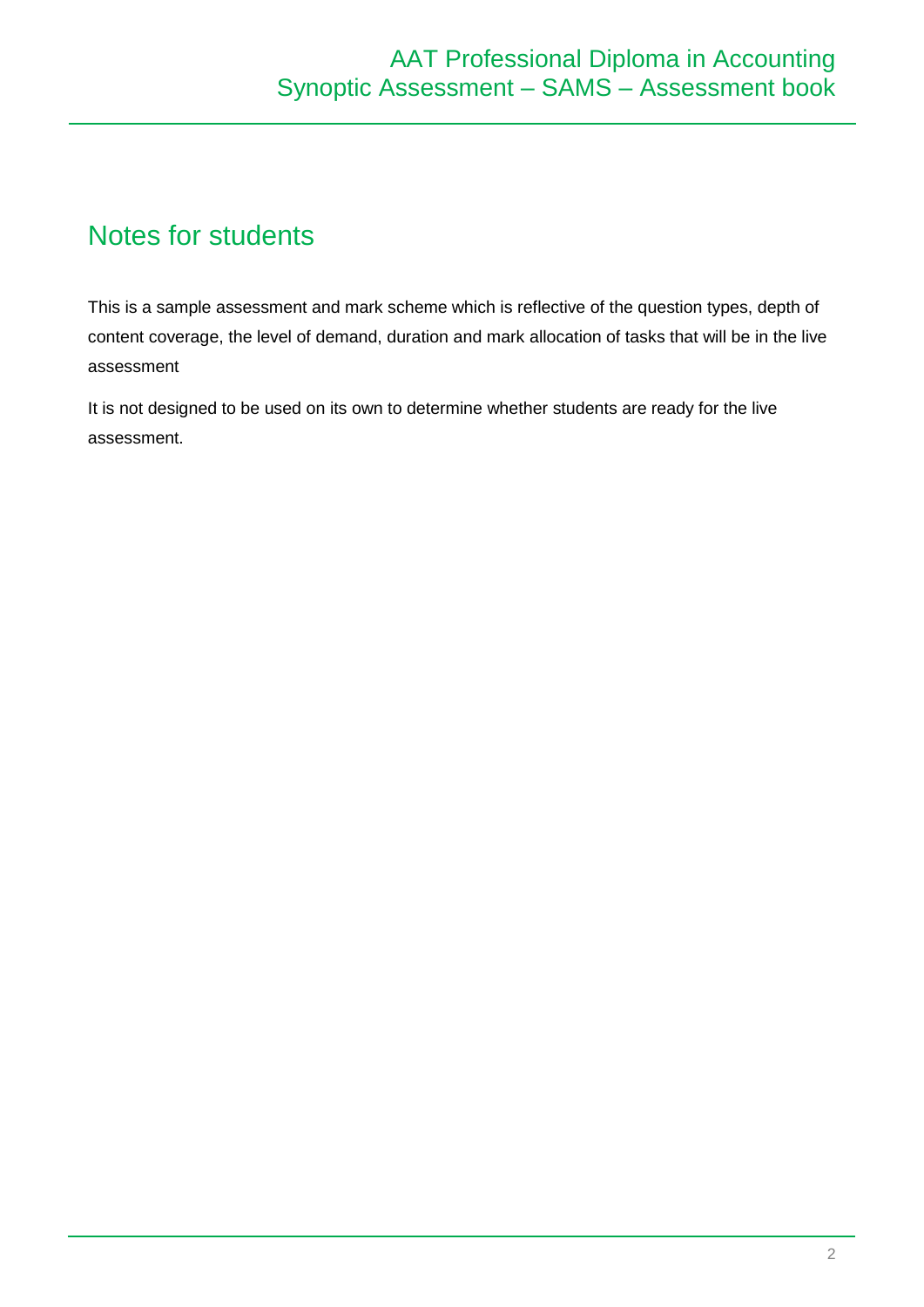# Notes for students

This is a sample assessment and mark scheme which is reflective of the question types, depth of content coverage, the level of demand, duration and mark allocation of tasks that will be in the live assessment

It is not designed to be used on its own to determine whether students are ready for the live assessment.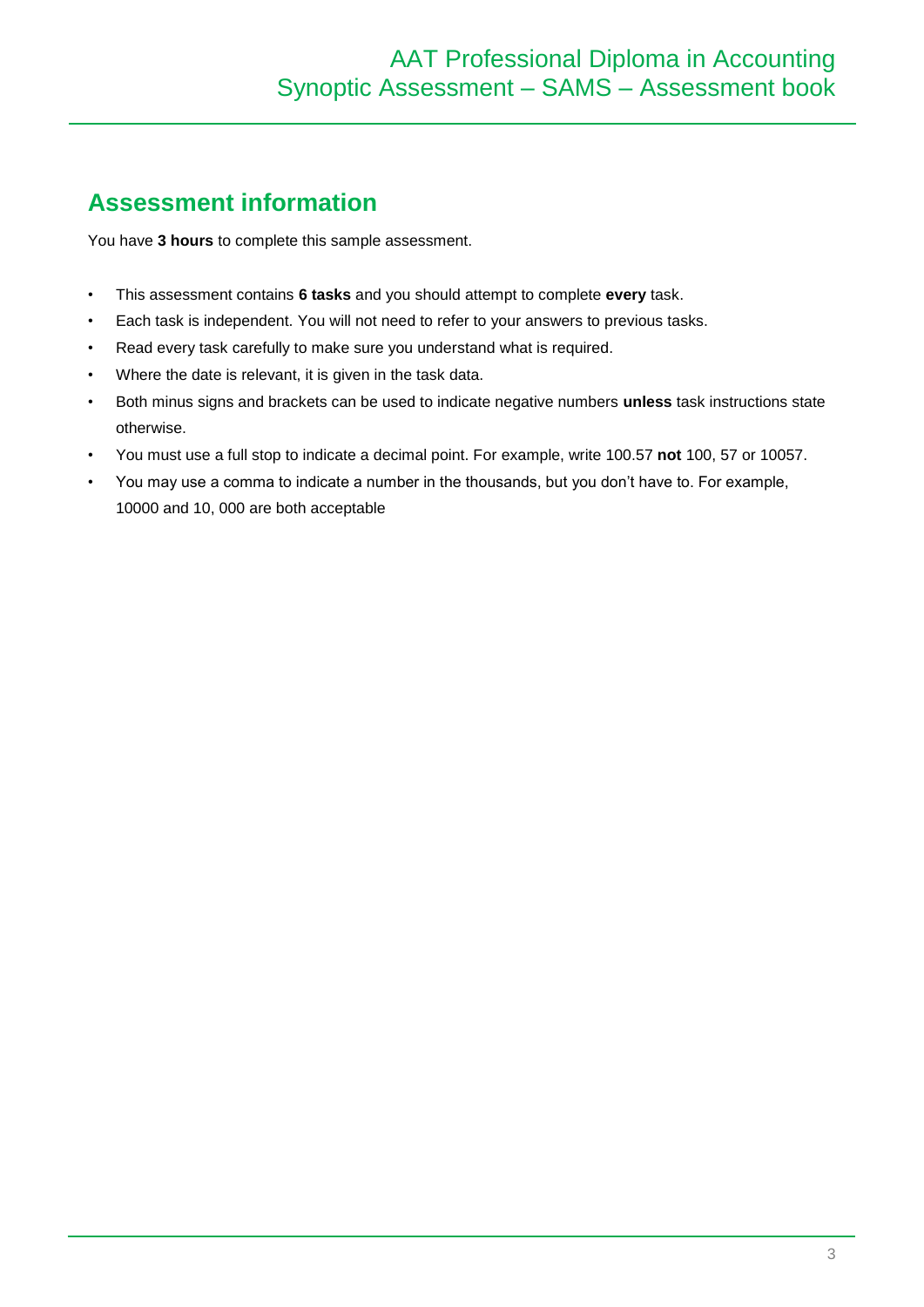# **Assessment information**

You have **3 hours** to complete this sample assessment.

- This assessment contains **6 tasks** and you should attempt to complete **every** task.
- Each task is independent. You will not need to refer to your answers to previous tasks.
- Read every task carefully to make sure you understand what is required.
- Where the date is relevant, it is given in the task data.
- Both minus signs and brackets can be used to indicate negative numbers **unless** task instructions state otherwise.
- You must use a full stop to indicate a decimal point. For example, write 100.57 **not** 100, 57 or 10057.
- You may use a comma to indicate a number in the thousands, but you don't have to. For example, 10000 and 10, 000 are both acceptable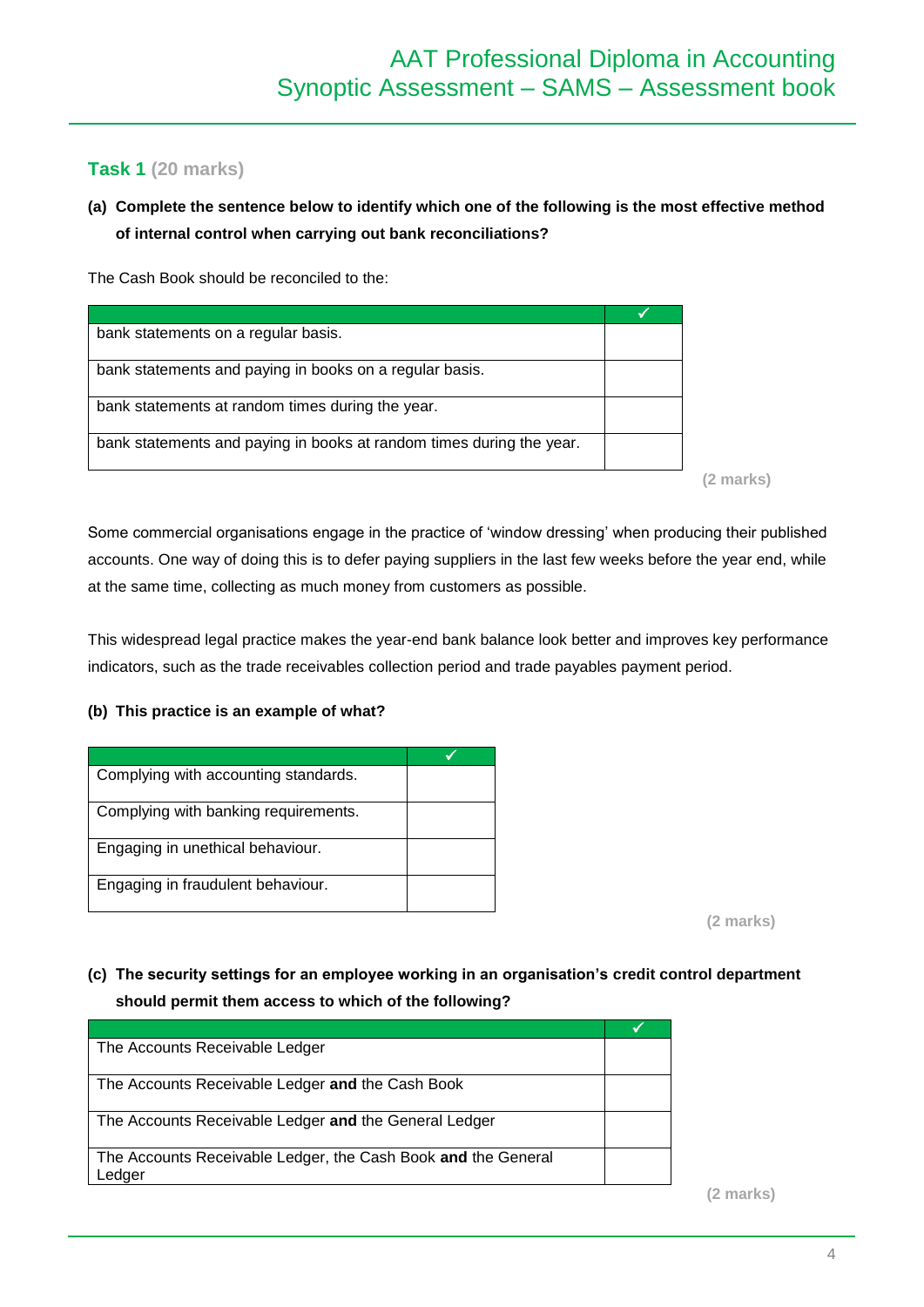## **Task 1 (20 marks)**

## **(a) Complete the sentence below to identify which one of the following is the most effective method of internal control when carrying out bank reconciliations?**

The Cash Book should be reconciled to the:

| bank statements on a regular basis.                                  |  |
|----------------------------------------------------------------------|--|
| bank statements and paying in books on a regular basis.              |  |
| bank statements at random times during the year.                     |  |
| bank statements and paying in books at random times during the year. |  |

**(2 marks)**

Some commercial organisations engage in the practice of 'window dressing' when producing their published accounts. One way of doing this is to defer paying suppliers in the last few weeks before the year end, while at the same time, collecting as much money from customers as possible.

This widespread legal practice makes the year-end bank balance look better and improves key performance indicators, such as the trade receivables collection period and trade payables payment period.

#### **(b) This practice is an example of what?**

| Complying with accounting standards. |  |
|--------------------------------------|--|
| Complying with banking requirements. |  |
| Engaging in unethical behaviour.     |  |
| Engaging in fraudulent behaviour.    |  |

**(2 marks)**

### **(c) The security settings for an employee working in an organisation's credit control department should permit them access to which of the following?**

| The Accounts Receivable Ledger                                          |  |
|-------------------------------------------------------------------------|--|
| The Accounts Receivable Ledger and the Cash Book                        |  |
| The Accounts Receivable Ledger and the General Ledger                   |  |
| The Accounts Receivable Ledger, the Cash Book and the General<br>_edger |  |

**(2 marks)**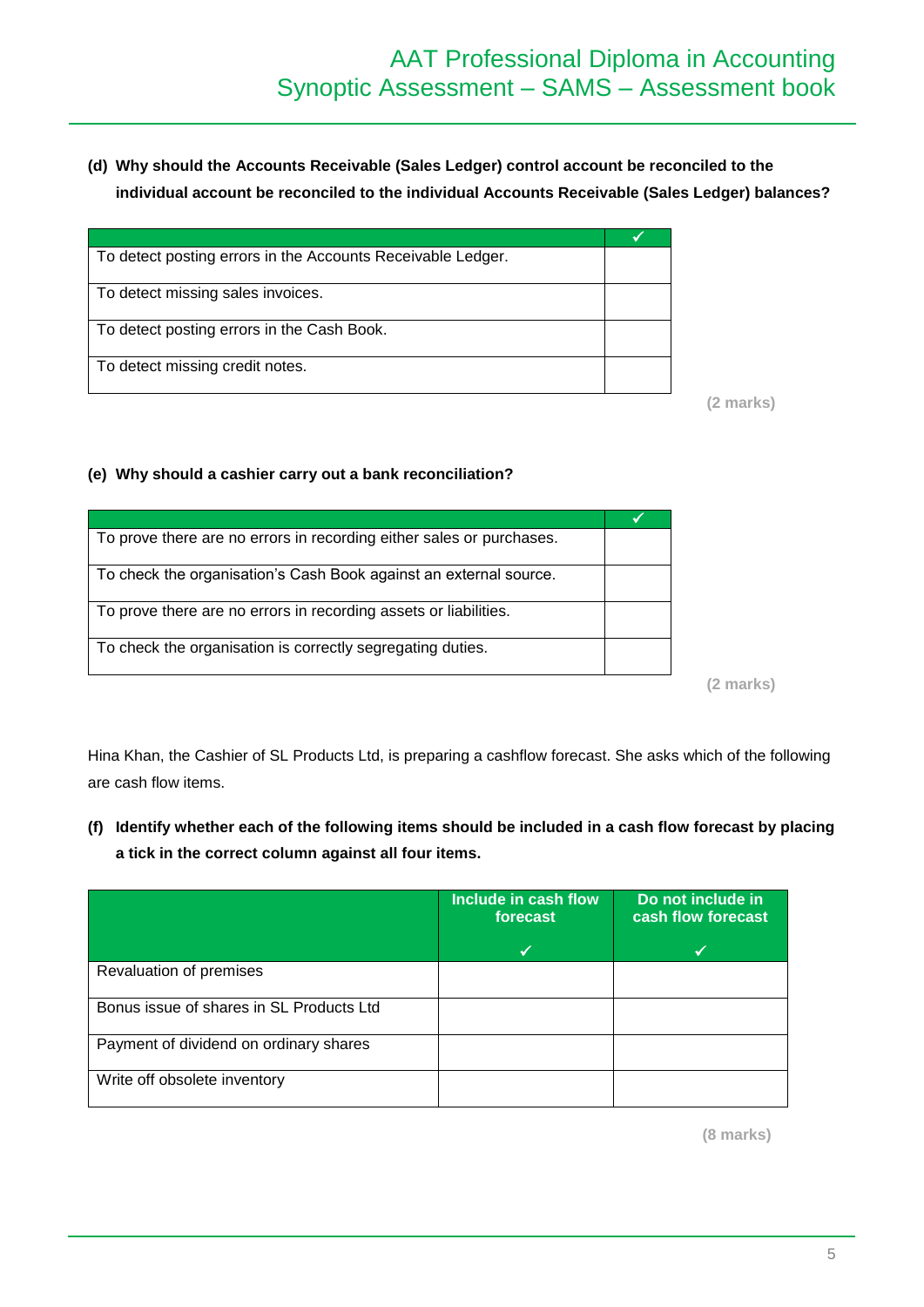**(d) Why should the Accounts Receivable (Sales Ledger) control account be reconciled to the individual account be reconciled to the individual Accounts Receivable (Sales Ledger) balances?** 

| To detect posting errors in the Accounts Receivable Ledger. |  |
|-------------------------------------------------------------|--|
| To detect missing sales invoices.                           |  |
| To detect posting errors in the Cash Book.                  |  |
| To detect missing credit notes.                             |  |

**(2 marks)**

#### **(e) Why should a cashier carry out a bank reconciliation?**

| To prove there are no errors in recording either sales or purchases. |        |
|----------------------------------------------------------------------|--------|
| To check the organisation's Cash Book against an external source.    |        |
| To prove there are no errors in recording assets or liabilities.     |        |
| To check the organisation is correctly segregating duties.           |        |
|                                                                      | marks) |

Hina Khan, the Cashier of SL Products Ltd, is preparing a cashflow forecast. She asks which of the following are cash flow items.

**(f) Identify whether each of the following items should be included in a cash flow forecast by placing a tick in the correct column against all four items.**

|                                          | Include in cash flow<br>forecast | Do not include in<br>cash flow forecast |
|------------------------------------------|----------------------------------|-----------------------------------------|
|                                          | ✔                                |                                         |
| Revaluation of premises                  |                                  |                                         |
| Bonus issue of shares in SL Products Ltd |                                  |                                         |
| Payment of dividend on ordinary shares   |                                  |                                         |
| Write off obsolete inventory             |                                  |                                         |

**(8 marks)**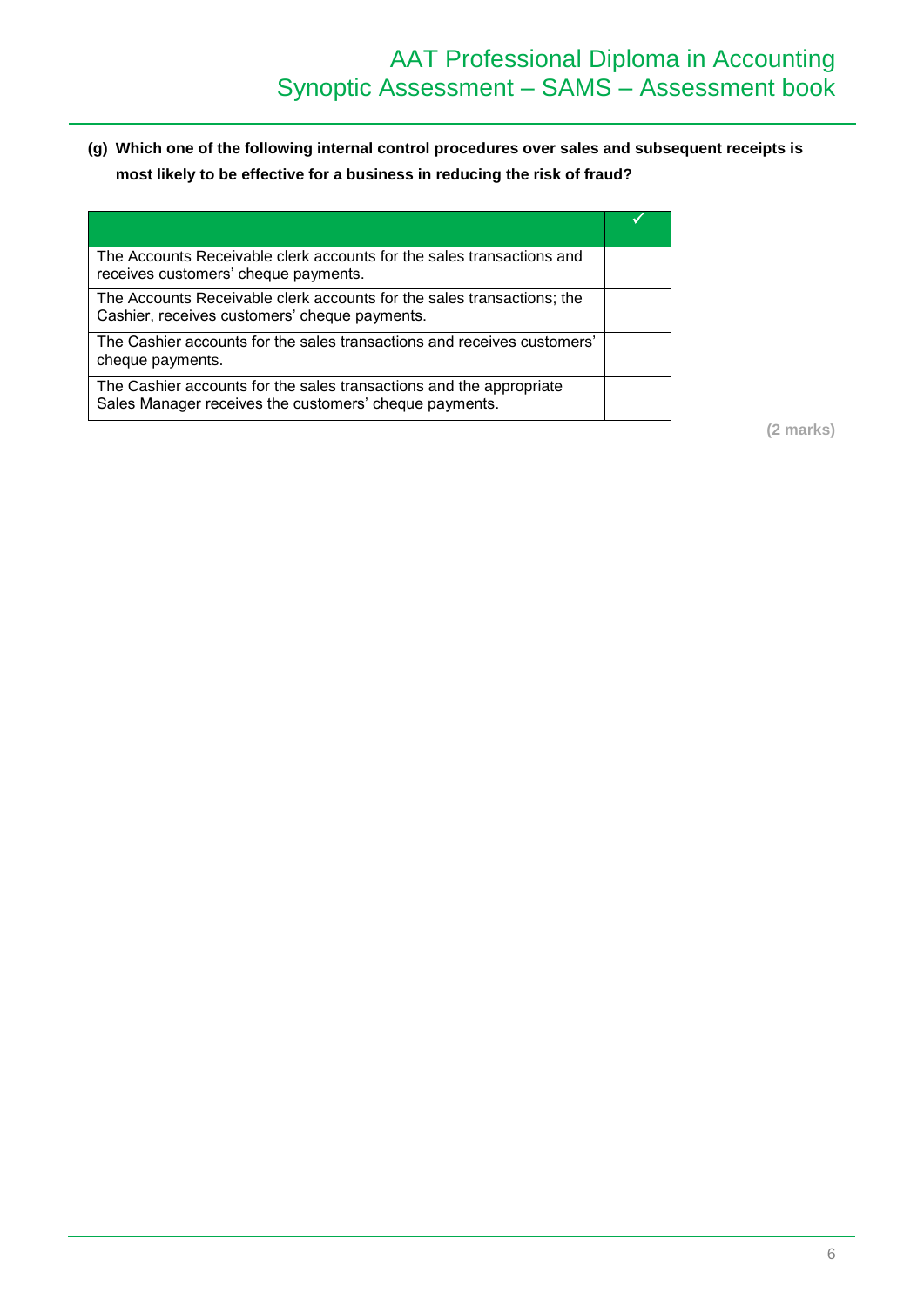**(g) Which one of the following internal control procedures over sales and subsequent receipts is most likely to be effective for a business in reducing the risk of fraud?** 

| The Accounts Receivable clerk accounts for the sales transactions and<br>receives customers' cheque payments.                 |  |
|-------------------------------------------------------------------------------------------------------------------------------|--|
| The Accounts Receivable clerk accounts for the sales transactions; the<br>Cashier, receives customers' cheque payments.       |  |
| The Cashier accounts for the sales transactions and receives customers'<br>cheque payments.                                   |  |
| The Cashier accounts for the sales transactions and the appropriate<br>Sales Manager receives the customers' cheque payments. |  |

**(2 marks)**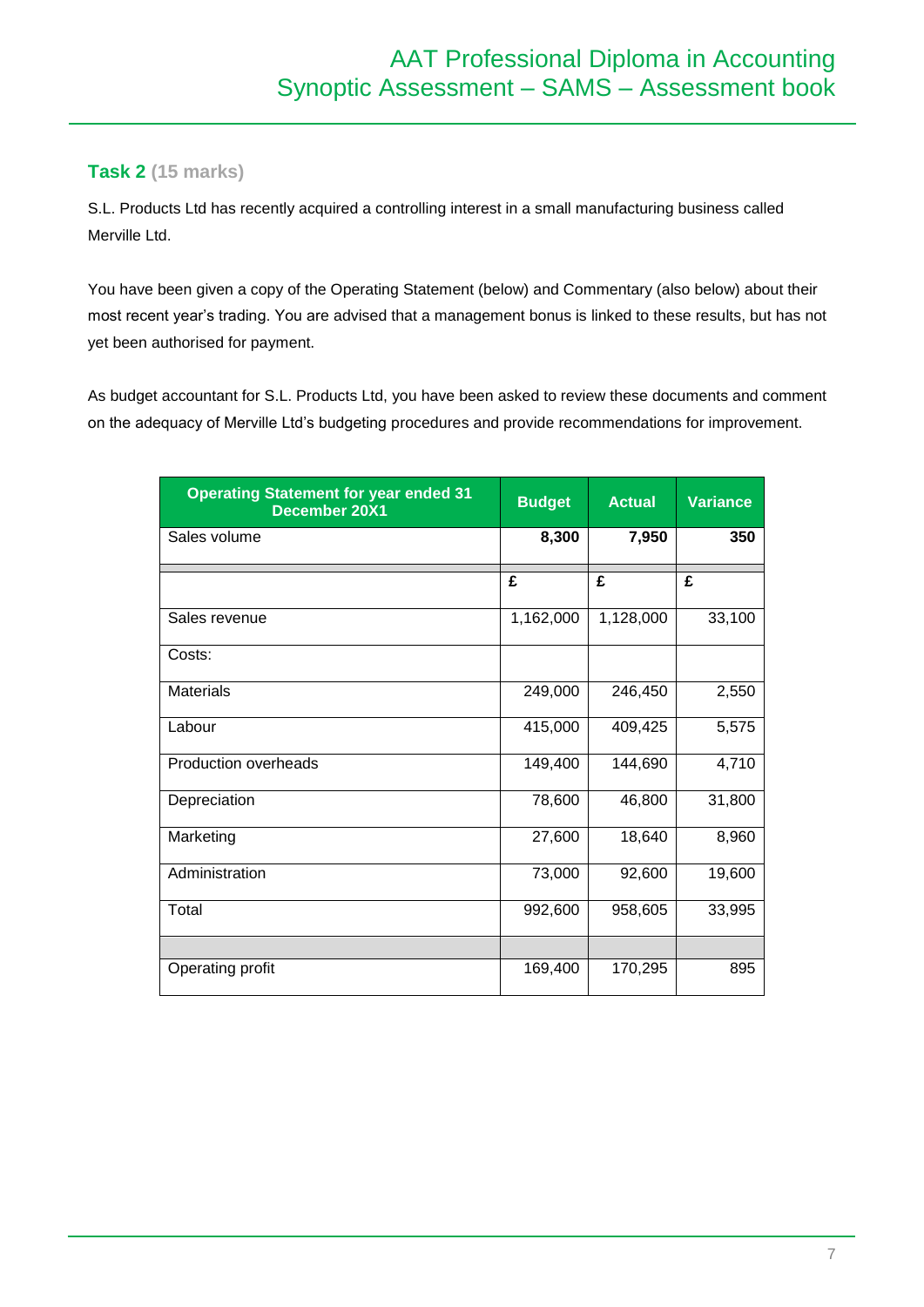### **Task 2 (15 marks)**

S.L. Products Ltd has recently acquired a controlling interest in a small manufacturing business called Merville Ltd.

You have been given a copy of the Operating Statement (below) and Commentary (also below) about their most recent year's trading. You are advised that a management bonus is linked to these results, but has not yet been authorised for payment.

As budget accountant for S.L. Products Ltd, you have been asked to review these documents and comment on the adequacy of Merville Ltd's budgeting procedures and provide recommendations for improvement.

| <b>Operating Statement for year ended 31</b><br><b>December 20X1</b> | <b>Budget</b> | <b>Actual</b> | <b>Variance</b> |
|----------------------------------------------------------------------|---------------|---------------|-----------------|
| Sales volume                                                         | 8,300         | 7,950         | 350             |
|                                                                      | £             | £             | £               |
| Sales revenue                                                        | 1,162,000     | 1,128,000     | 33,100          |
| Costs:                                                               |               |               |                 |
| <b>Materials</b>                                                     | 249,000       | 246,450       | 2,550           |
| Labour                                                               | 415,000       | 409,425       | 5,575           |
| <b>Production overheads</b>                                          | 149,400       | 144,690       | 4,710           |
| Depreciation                                                         | 78,600        | 46,800        | 31,800          |
| Marketing                                                            | 27,600        | 18,640        | 8,960           |
| Administration                                                       | 73,000        | 92,600        | 19,600          |
| Total                                                                | 992,600       | 958,605       | 33,995          |
|                                                                      |               |               |                 |
| Operating profit                                                     | 169,400       | 170,295       | 895             |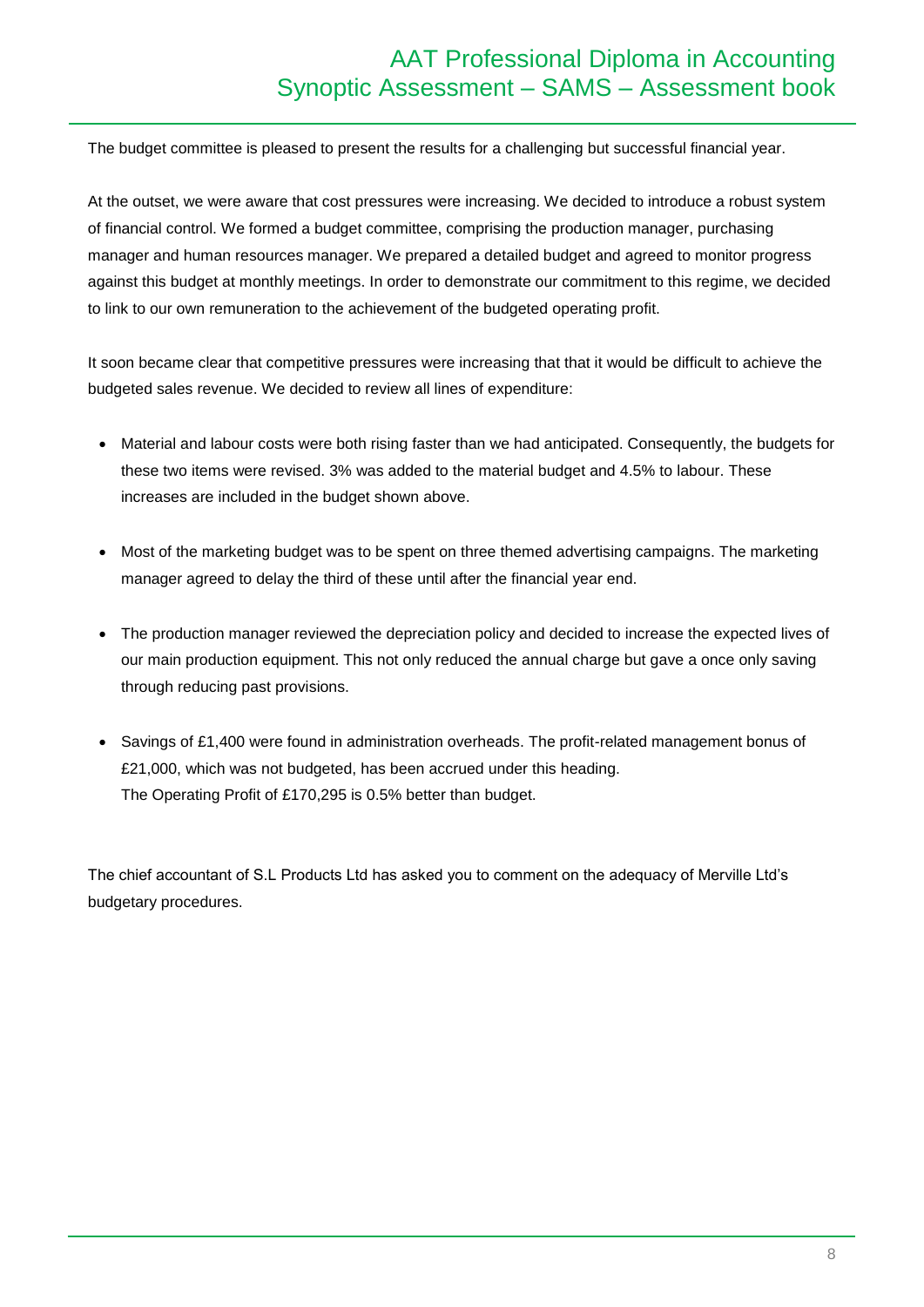The budget committee is pleased to present the results for a challenging but successful financial year.

At the outset, we were aware that cost pressures were increasing. We decided to introduce a robust system of financial control. We formed a budget committee, comprising the production manager, purchasing manager and human resources manager. We prepared a detailed budget and agreed to monitor progress against this budget at monthly meetings. In order to demonstrate our commitment to this regime, we decided to link to our own remuneration to the achievement of the budgeted operating profit.

It soon became clear that competitive pressures were increasing that that it would be difficult to achieve the budgeted sales revenue. We decided to review all lines of expenditure:

- Material and labour costs were both rising faster than we had anticipated. Consequently, the budgets for these two items were revised. 3% was added to the material budget and 4.5% to labour. These increases are included in the budget shown above.
- Most of the marketing budget was to be spent on three themed advertising campaigns. The marketing manager agreed to delay the third of these until after the financial year end.
- The production manager reviewed the depreciation policy and decided to increase the expected lives of our main production equipment. This not only reduced the annual charge but gave a once only saving through reducing past provisions.
- Savings of £1,400 were found in administration overheads. The profit-related management bonus of £21,000, which was not budgeted, has been accrued under this heading. The Operating Profit of £170,295 is 0.5% better than budget.

The chief accountant of S.L Products Ltd has asked you to comment on the adequacy of Merville Ltd's budgetary procedures.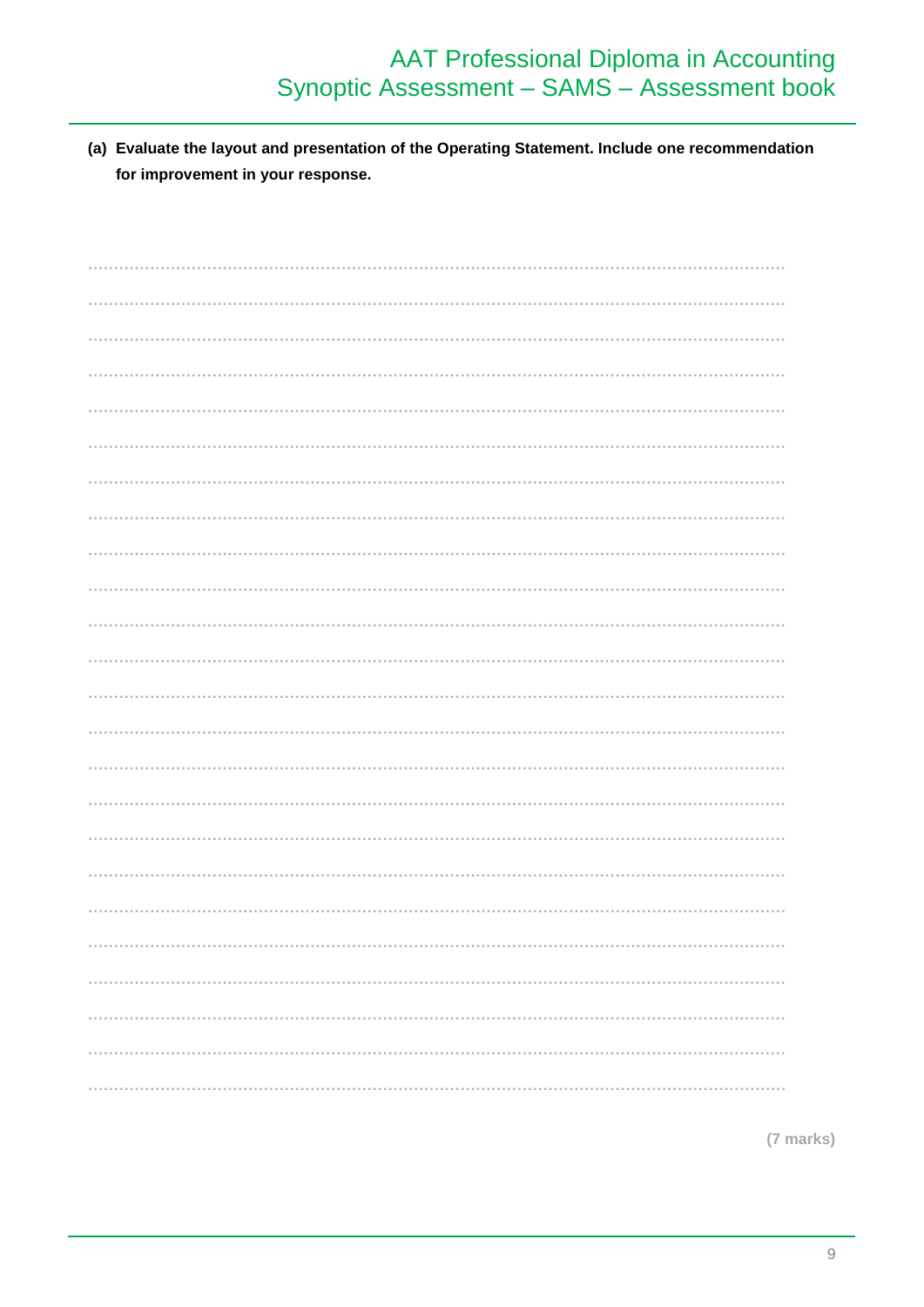(a) Evaluate the layout and presentation of the Operating Statement. Include one recommendation for improvement in your response.

(7 marks)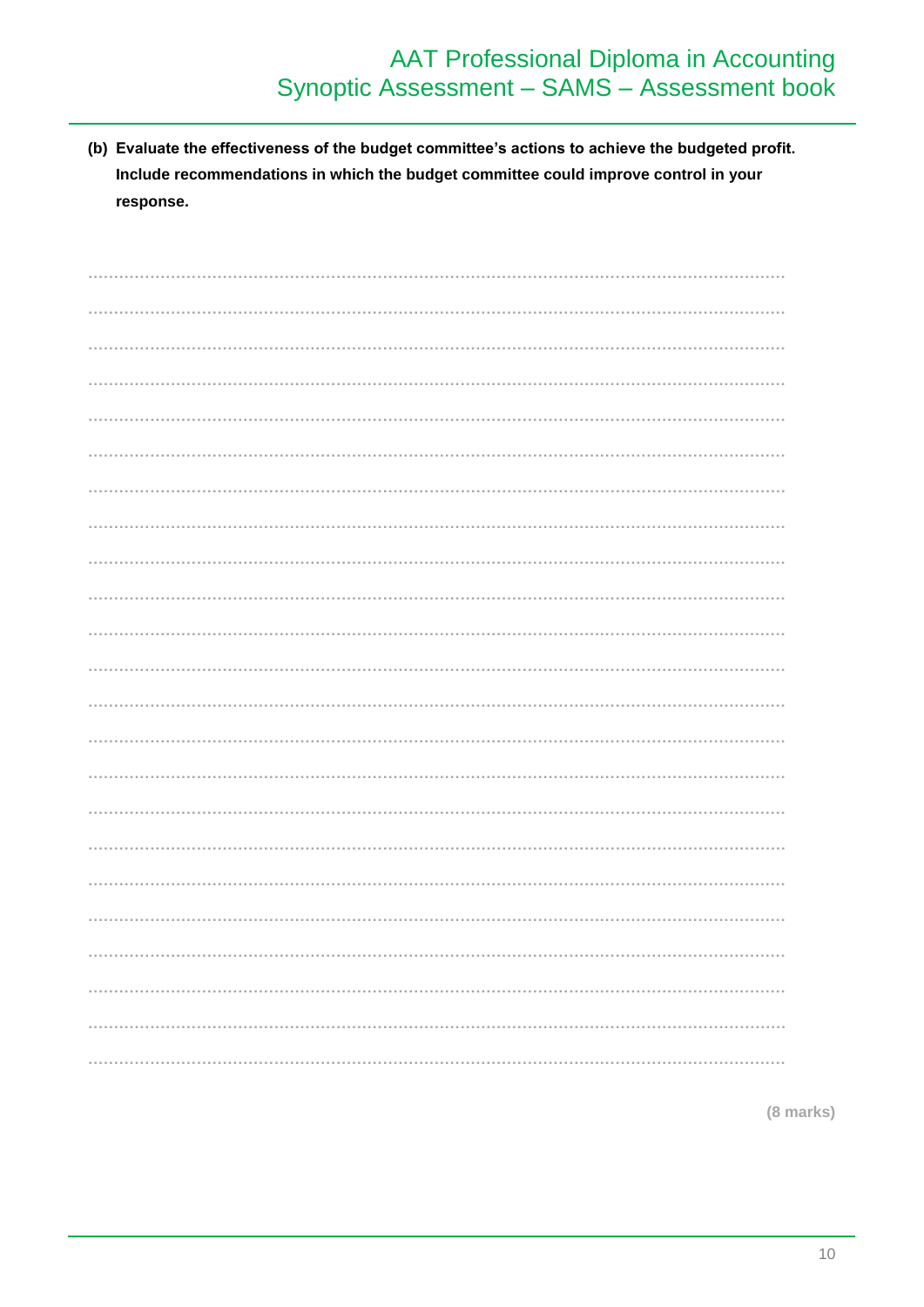(b) Evaluate the effectiveness of the budget committee's actions to achieve the budgeted profit. Include recommendations in which the budget committee could improve control in your response.

(8 marks)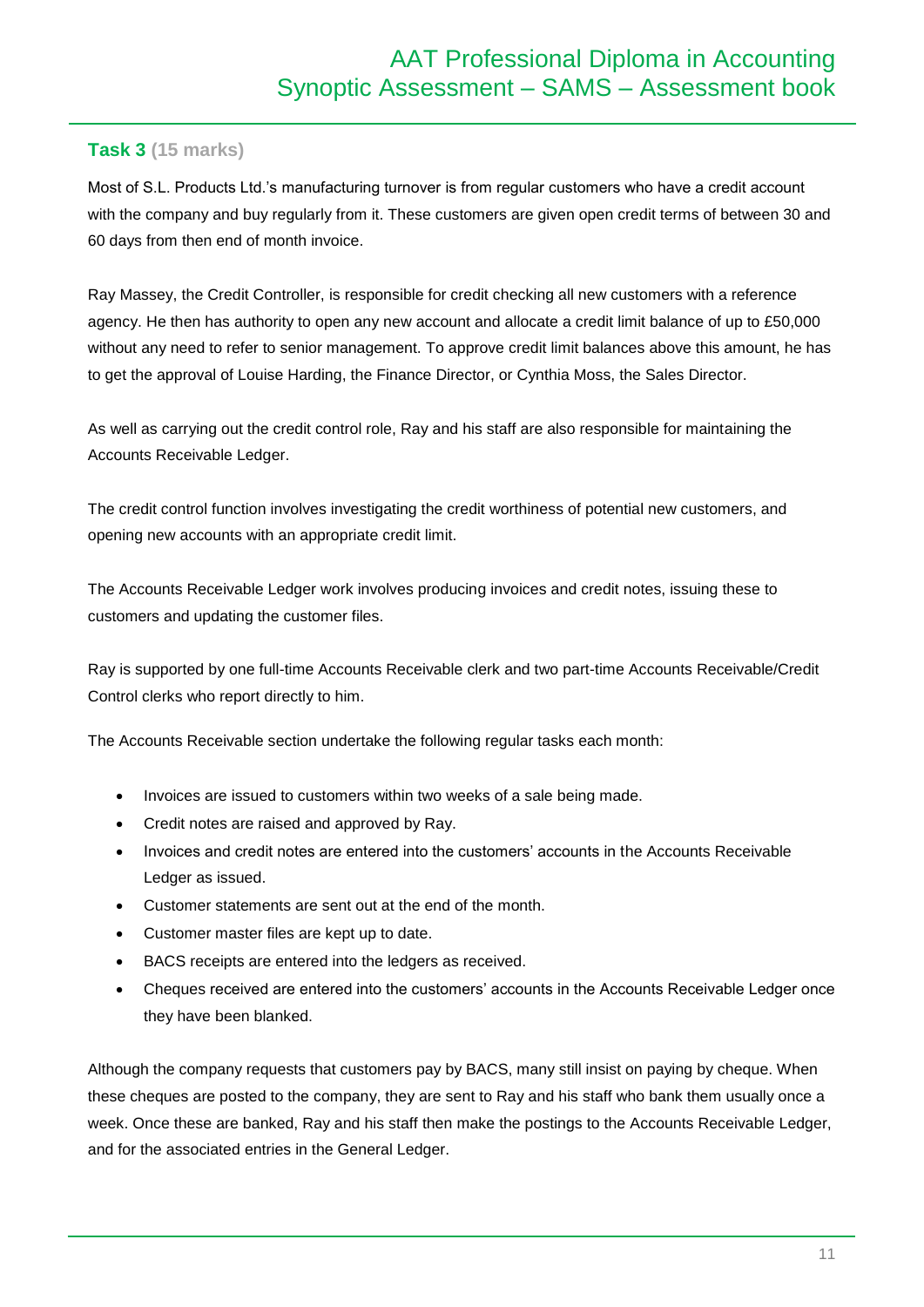## **Task 3 (15 marks)**

Most of S.L. Products Ltd.'s manufacturing turnover is from regular customers who have a credit account with the company and buy regularly from it. These customers are given open credit terms of between 30 and 60 days from then end of month invoice.

Ray Massey, the Credit Controller, is responsible for credit checking all new customers with a reference agency. He then has authority to open any new account and allocate a credit limit balance of up to £50,000 without any need to refer to senior management. To approve credit limit balances above this amount, he has to get the approval of Louise Harding, the Finance Director, or Cynthia Moss, the Sales Director.

As well as carrying out the credit control role, Ray and his staff are also responsible for maintaining the Accounts Receivable Ledger.

The credit control function involves investigating the credit worthiness of potential new customers, and opening new accounts with an appropriate credit limit.

The Accounts Receivable Ledger work involves producing invoices and credit notes, issuing these to customers and updating the customer files.

Ray is supported by one full-time Accounts Receivable clerk and two part-time Accounts Receivable/Credit Control clerks who report directly to him.

The Accounts Receivable section undertake the following regular tasks each month:

- Invoices are issued to customers within two weeks of a sale being made.
- Credit notes are raised and approved by Ray.
- Invoices and credit notes are entered into the customers' accounts in the Accounts Receivable Ledger as issued.
- Customer statements are sent out at the end of the month.
- Customer master files are kept up to date.
- BACS receipts are entered into the ledgers as received.
- Cheques received are entered into the customers' accounts in the Accounts Receivable Ledger once they have been blanked.

Although the company requests that customers pay by BACS, many still insist on paying by cheque. When these cheques are posted to the company, they are sent to Ray and his staff who bank them usually once a week. Once these are banked, Ray and his staff then make the postings to the Accounts Receivable Ledger, and for the associated entries in the General Ledger.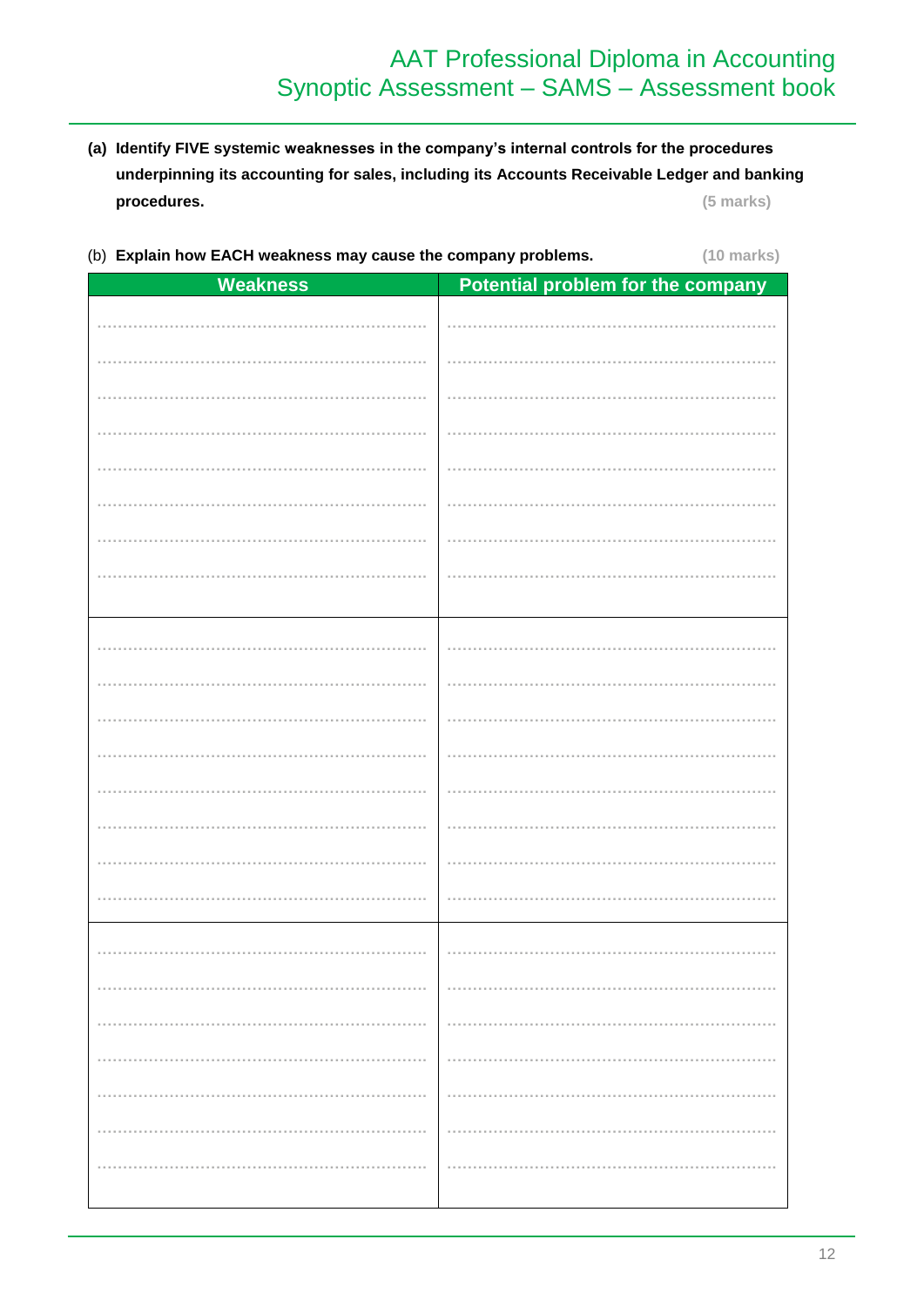- (a) Identify FIVE systemic weaknesses in the company's internal controls for the procedures underpinning its accounting for sales, including its Accounts Receivable Ledger and banking procedures. (5 marks)
- (b) Explain how EACH weakness may cause the company problems.

 $(10 \text{ marks})$ 

| <b>Weakness</b> | Potential problem for the company |
|-----------------|-----------------------------------|
|                 |                                   |
|                 |                                   |
|                 |                                   |
|                 |                                   |
|                 |                                   |
|                 |                                   |
|                 |                                   |
|                 |                                   |
|                 |                                   |
|                 |                                   |
|                 |                                   |
|                 |                                   |
|                 |                                   |
|                 |                                   |
|                 |                                   |
|                 |                                   |
|                 |                                   |
|                 |                                   |
|                 |                                   |
|                 |                                   |
|                 |                                   |
|                 |                                   |
|                 |                                   |
|                 |                                   |
|                 |                                   |
|                 |                                   |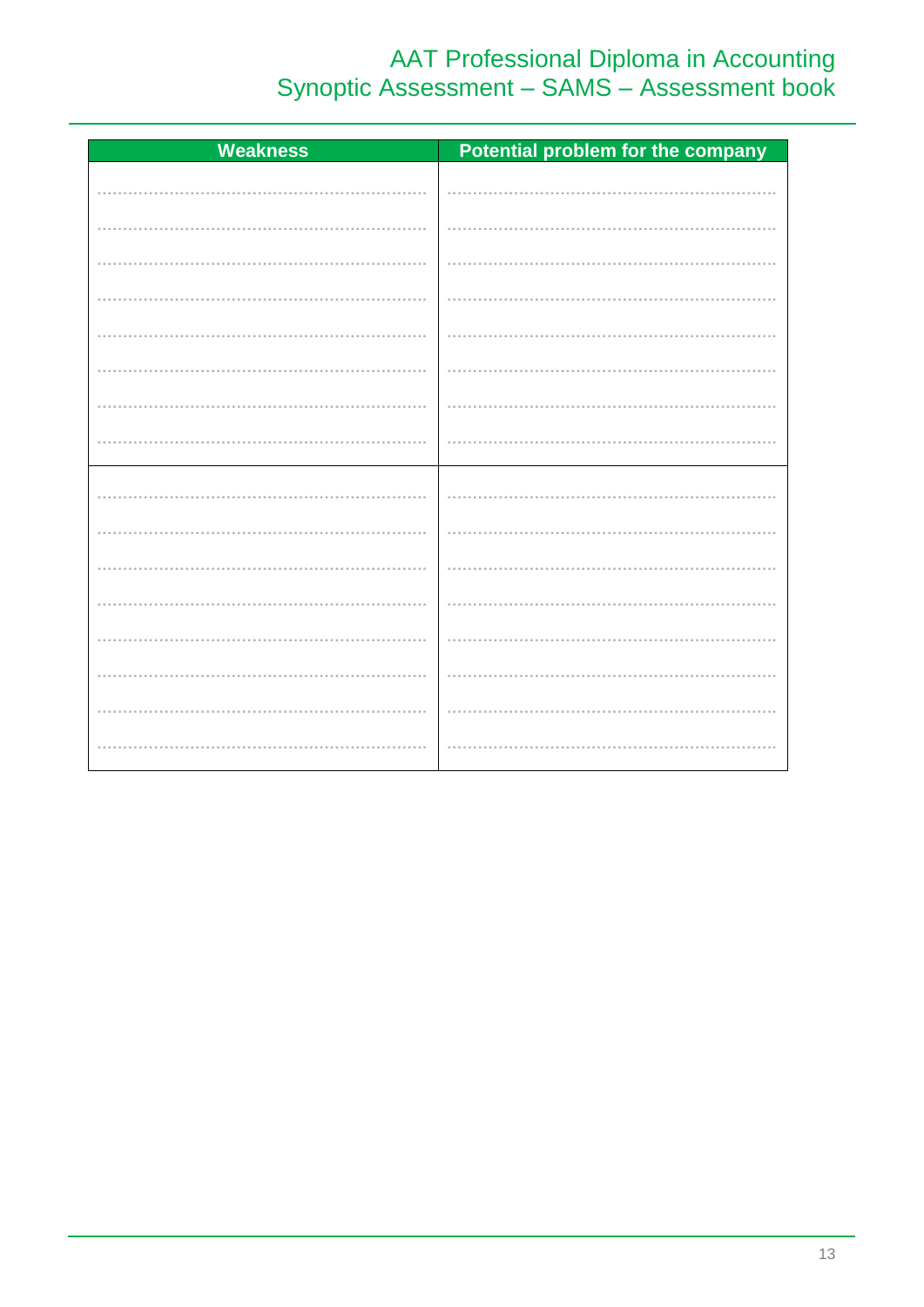# AAT Professional Diploma in Accounting<br>Synoptic Assessment - SAMS - Assessment book

| <b>Weakness</b> | Potential problem for the company |
|-----------------|-----------------------------------|
|                 |                                   |
|                 |                                   |
|                 |                                   |
|                 |                                   |
|                 |                                   |
|                 |                                   |
|                 |                                   |
|                 |                                   |
|                 |                                   |
|                 |                                   |
|                 |                                   |
|                 |                                   |
|                 |                                   |
|                 |                                   |
|                 |                                   |
|                 |                                   |
|                 |                                   |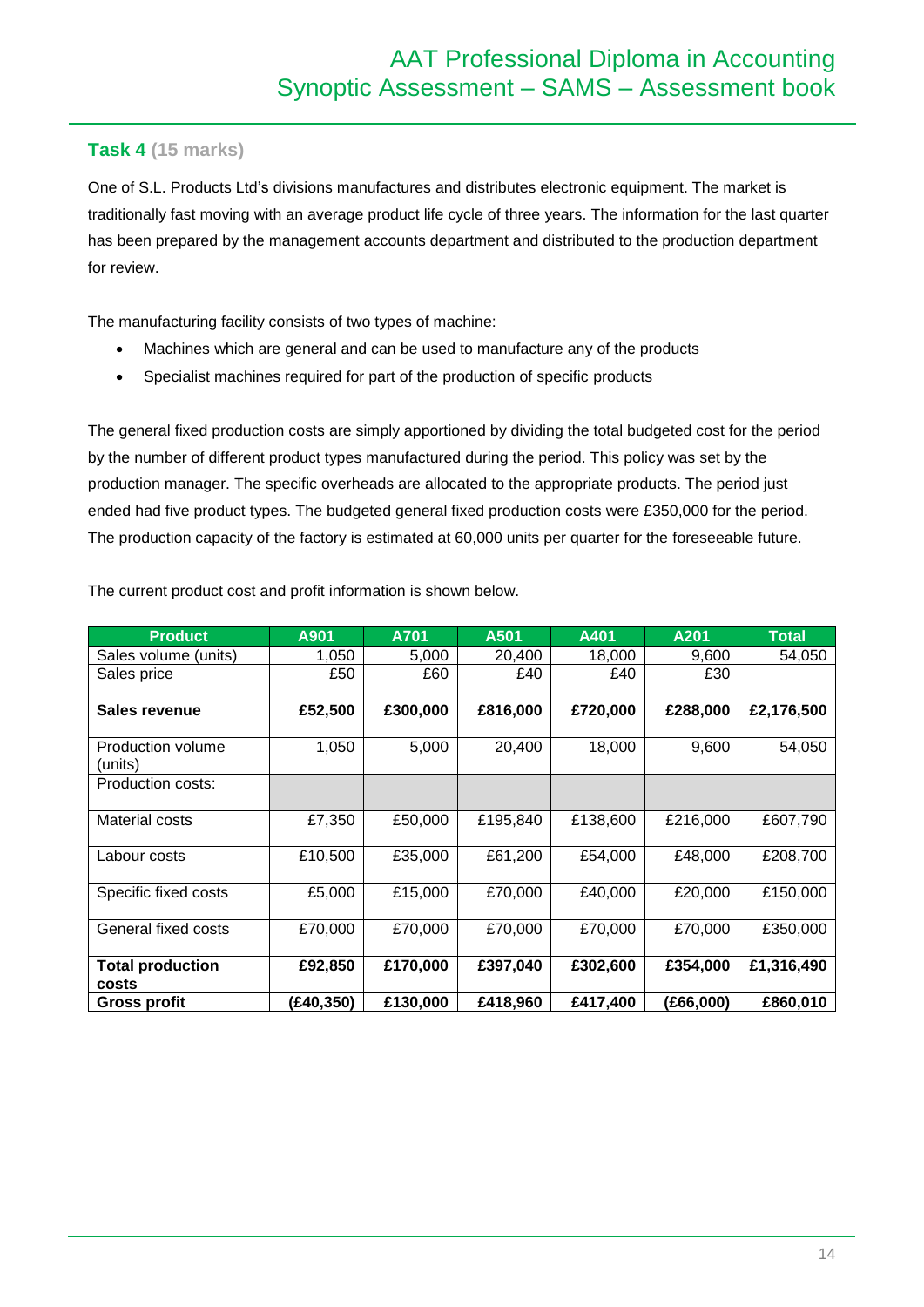## **Task 4 (15 marks)**

One of S.L. Products Ltd's divisions manufactures and distributes electronic equipment. The market is traditionally fast moving with an average product life cycle of three years. The information for the last quarter has been prepared by the management accounts department and distributed to the production department for review.

The manufacturing facility consists of two types of machine:

- Machines which are general and can be used to manufacture any of the products
- Specialist machines required for part of the production of specific products

The general fixed production costs are simply apportioned by dividing the total budgeted cost for the period by the number of different product types manufactured during the period. This policy was set by the production manager. The specific overheads are allocated to the appropriate products. The period just ended had five product types. The budgeted general fixed production costs were £350,000 for the period. The production capacity of the factory is estimated at 60,000 units per quarter for the foreseeable future.

| <b>Product</b>                   | A901      | A701     | A501     | A401     | A201      | <b>Total</b> |
|----------------------------------|-----------|----------|----------|----------|-----------|--------------|
| Sales volume (units)             | 1,050     | 5,000    | 20,400   | 18,000   | 9,600     | 54,050       |
| Sales price                      | £50       | £60      | £40      | £40      | £30       |              |
| Sales revenue                    | £52,500   | £300,000 | £816,000 | £720,000 | £288,000  | £2,176,500   |
| Production volume<br>(units)     | 1,050     | 5,000    | 20,400   | 18,000   | 9,600     | 54,050       |
| Production costs:                |           |          |          |          |           |              |
| Material costs                   | £7,350    | £50,000  | £195,840 | £138,600 | £216,000  | £607,790     |
| Labour costs                     | £10,500   | £35,000  | £61,200  | £54,000  | £48,000   | £208,700     |
| Specific fixed costs             | £5,000    | £15,000  | £70,000  | £40,000  | £20,000   | £150,000     |
| General fixed costs              | £70,000   | £70,000  | £70,000  | £70,000  | £70,000   | £350,000     |
| <b>Total production</b><br>costs | £92,850   | £170,000 | £397,040 | £302,600 | £354,000  | £1,316,490   |
| <b>Gross profit</b>              | (£40,350) | £130,000 | £418,960 | £417,400 | (£66,000) | £860,010     |

The current product cost and profit information is shown below.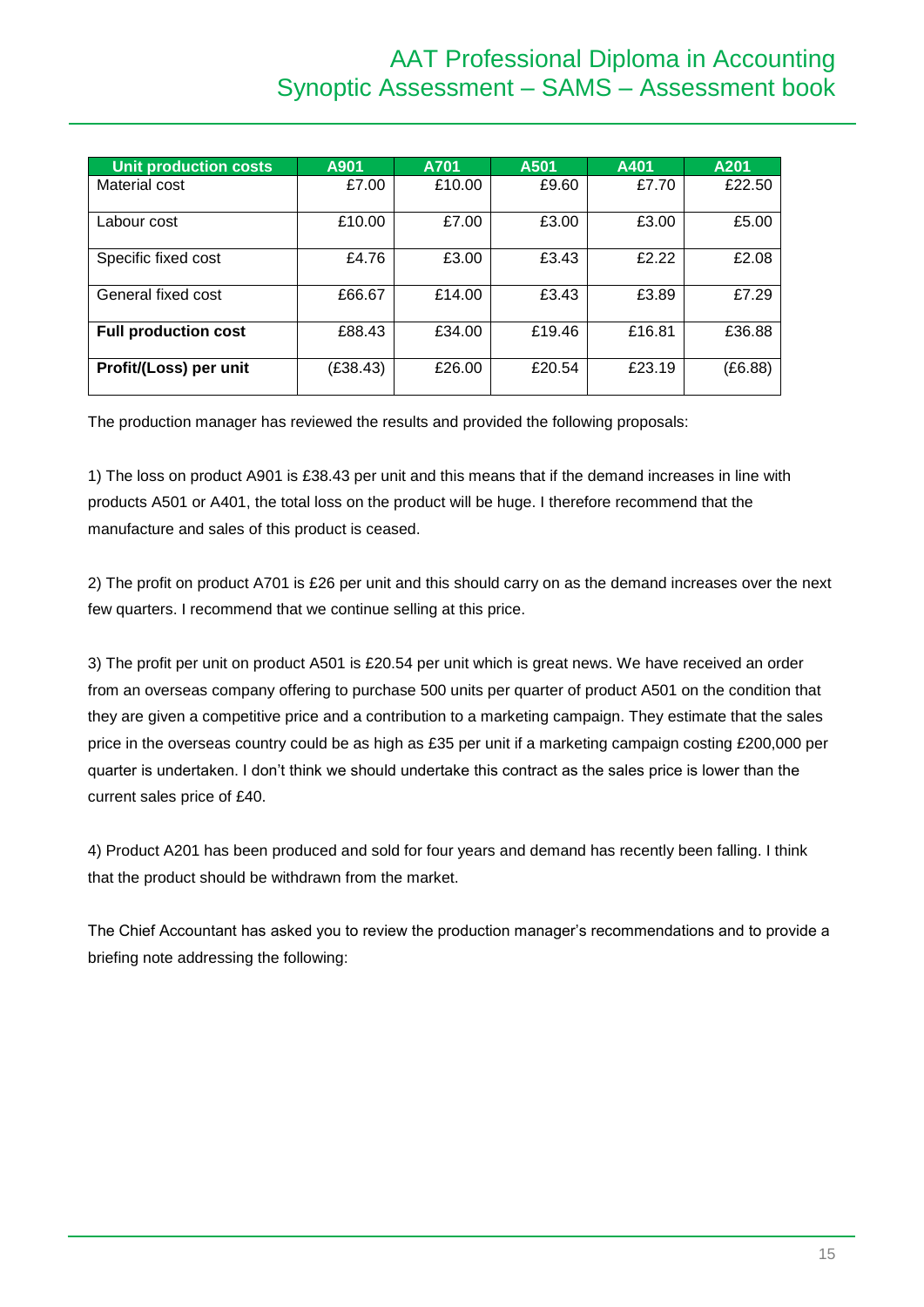# AAT Professional Diploma in Accounting Synoptic Assessment – SAMS – Assessment book

| <b>Unit production costs</b> | A901     | A701   | A501   | A401   | A201    |
|------------------------------|----------|--------|--------|--------|---------|
| Material cost                | £7.00    | £10.00 | £9.60  | £7.70  | £22.50  |
| Labour cost                  | £10.00   | £7.00  | £3.00  | £3.00  | £5.00   |
| Specific fixed cost          | £4.76    | £3.00  | £3.43  | £2.22  | £2.08   |
| General fixed cost           | £66.67   | £14.00 | £3.43  | £3.89  | £7.29   |
| <b>Full production cost</b>  | £88.43   | £34.00 | £19.46 | £16.81 | £36.88  |
| Profit/(Loss) per unit       | (E38.43) | £26.00 | £20.54 | £23.19 | (E6.88) |

The production manager has reviewed the results and provided the following proposals:

1) The loss on product A901 is £38.43 per unit and this means that if the demand increases in line with products A501 or A401, the total loss on the product will be huge. I therefore recommend that the manufacture and sales of this product is ceased.

2) The profit on product A701 is £26 per unit and this should carry on as the demand increases over the next few quarters. I recommend that we continue selling at this price.

3) The profit per unit on product A501 is £20.54 per unit which is great news. We have received an order from an overseas company offering to purchase 500 units per quarter of product A501 on the condition that they are given a competitive price and a contribution to a marketing campaign. They estimate that the sales price in the overseas country could be as high as £35 per unit if a marketing campaign costing £200,000 per quarter is undertaken. I don't think we should undertake this contract as the sales price is lower than the current sales price of £40.

4) Product A201 has been produced and sold for four years and demand has recently been falling. I think that the product should be withdrawn from the market.

The Chief Accountant has asked you to review the production manager's recommendations and to provide a briefing note addressing the following: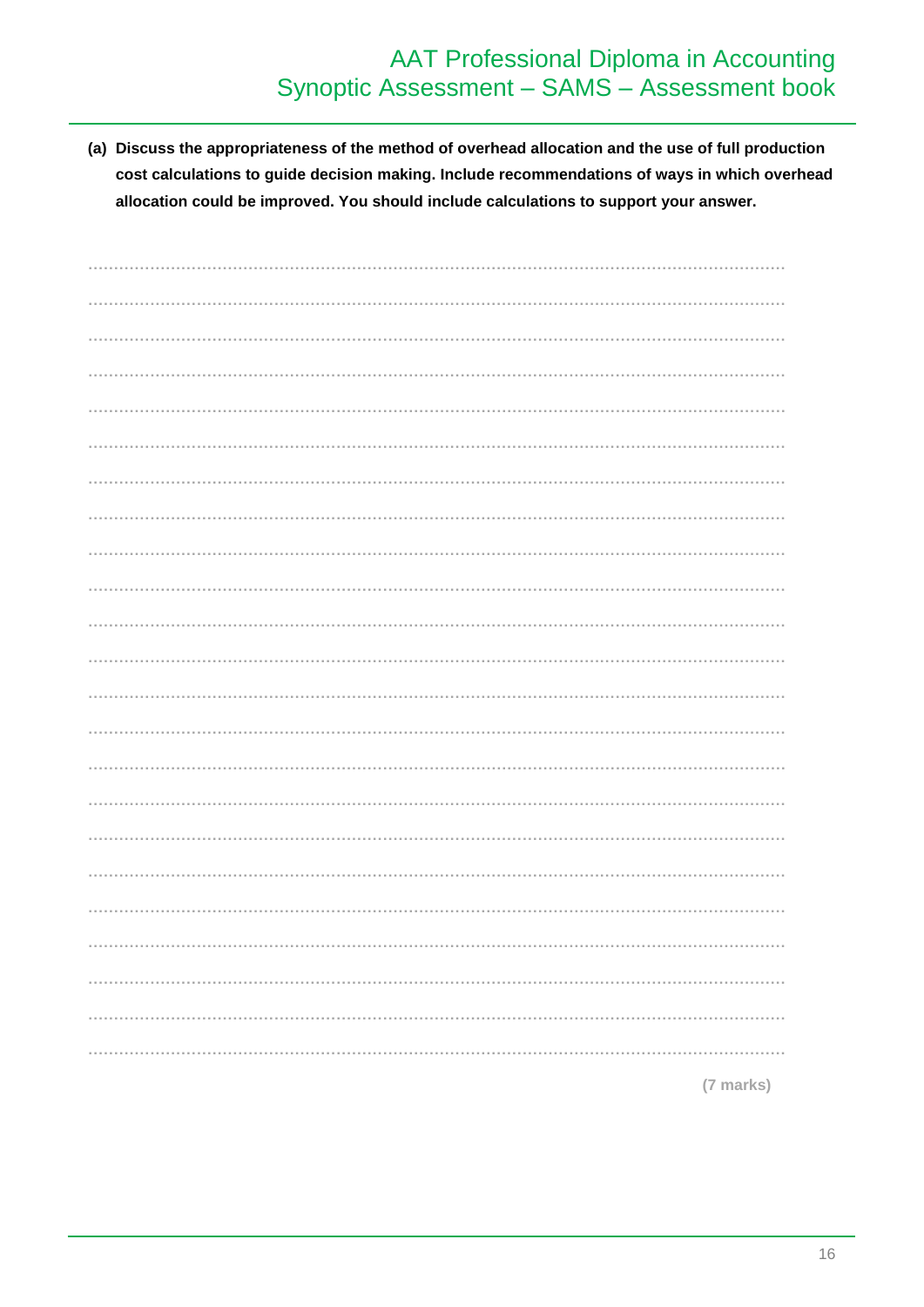# **AAT Professional Diploma in Accounting** Synoptic Assessment - SAMS - Assessment book

(a) Discuss the appropriateness of the method of overhead allocation and the use of full production cost calculations to guide decision making. Include recommendations of ways in which overhead allocation could be improved. You should include calculations to support your answer.

| (7 marks) |
|-----------|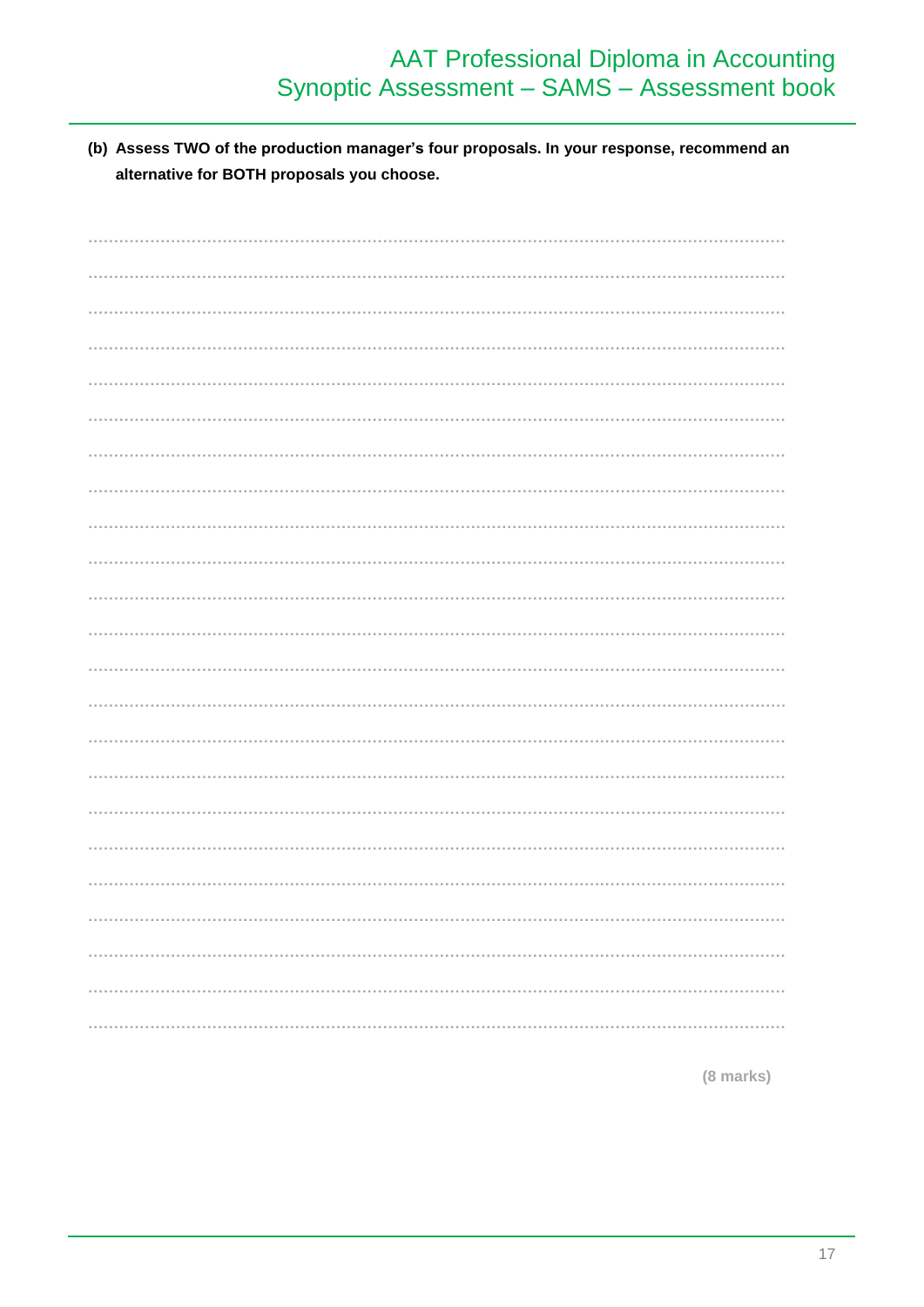# AAT Professional Diploma in Accounting<br>Synoptic Assessment – SAMS – Assessment book

(b) Assess TWO of the production manager's four proposals. In your response, recommend an alternative for BOTH proposals you choose.

(8 marks)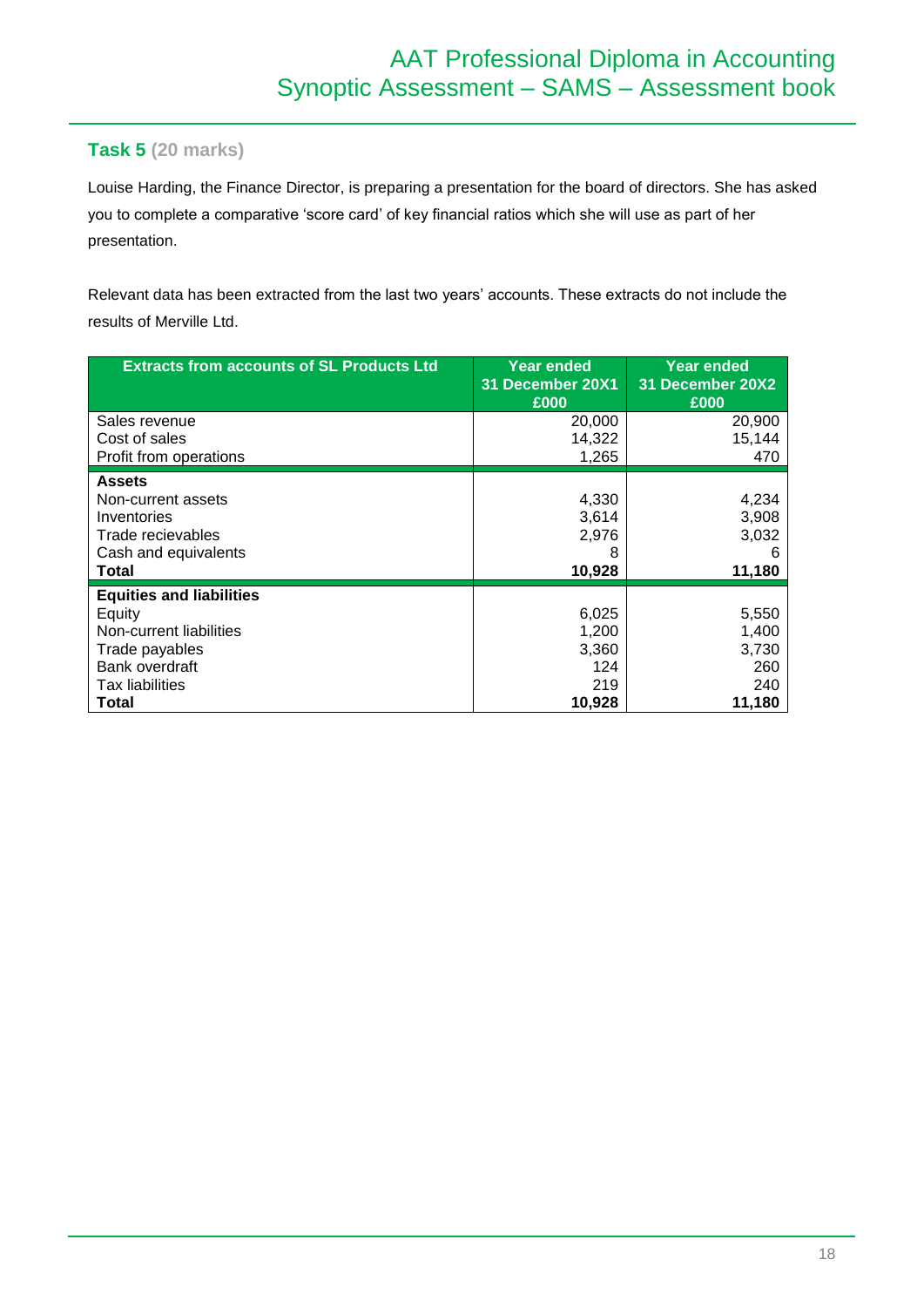## **Task 5 (20 marks)**

Louise Harding, the Finance Director, is preparing a presentation for the board of directors. She has asked you to complete a comparative 'score card' of key financial ratios which she will use as part of her presentation.

Relevant data has been extracted from the last two years' accounts. These extracts do not include the results of Merville Ltd.

| <b>Extracts from accounts of SL Products Ltd</b> | Year ended<br>31 December 20X1<br>£000 | <b>Year ended</b><br>31 December 20X2<br>£000 |
|--------------------------------------------------|----------------------------------------|-----------------------------------------------|
| Sales revenue                                    | 20,000                                 | 20,900                                        |
| Cost of sales                                    | 14,322                                 | 15,144                                        |
| Profit from operations                           | 1,265                                  | 470                                           |
| <b>Assets</b>                                    |                                        |                                               |
| Non-current assets                               | 4,330                                  | 4,234                                         |
| Inventories                                      | 3,614                                  | 3,908                                         |
| Trade recievables                                | 2,976                                  | 3,032                                         |
| Cash and equivalents                             | 8                                      | 6                                             |
| Total                                            | 10,928                                 | 11,180                                        |
| <b>Equities and liabilities</b>                  |                                        |                                               |
| Equity                                           | 6,025                                  | 5,550                                         |
| Non-current liabilities                          | 1,200                                  | 1,400                                         |
| Trade payables                                   | 3,360                                  | 3,730                                         |
| Bank overdraft                                   | 124                                    | 260                                           |
| Tax liabilities                                  | 219                                    | 240                                           |
| Total                                            | 10,928                                 | 11,180                                        |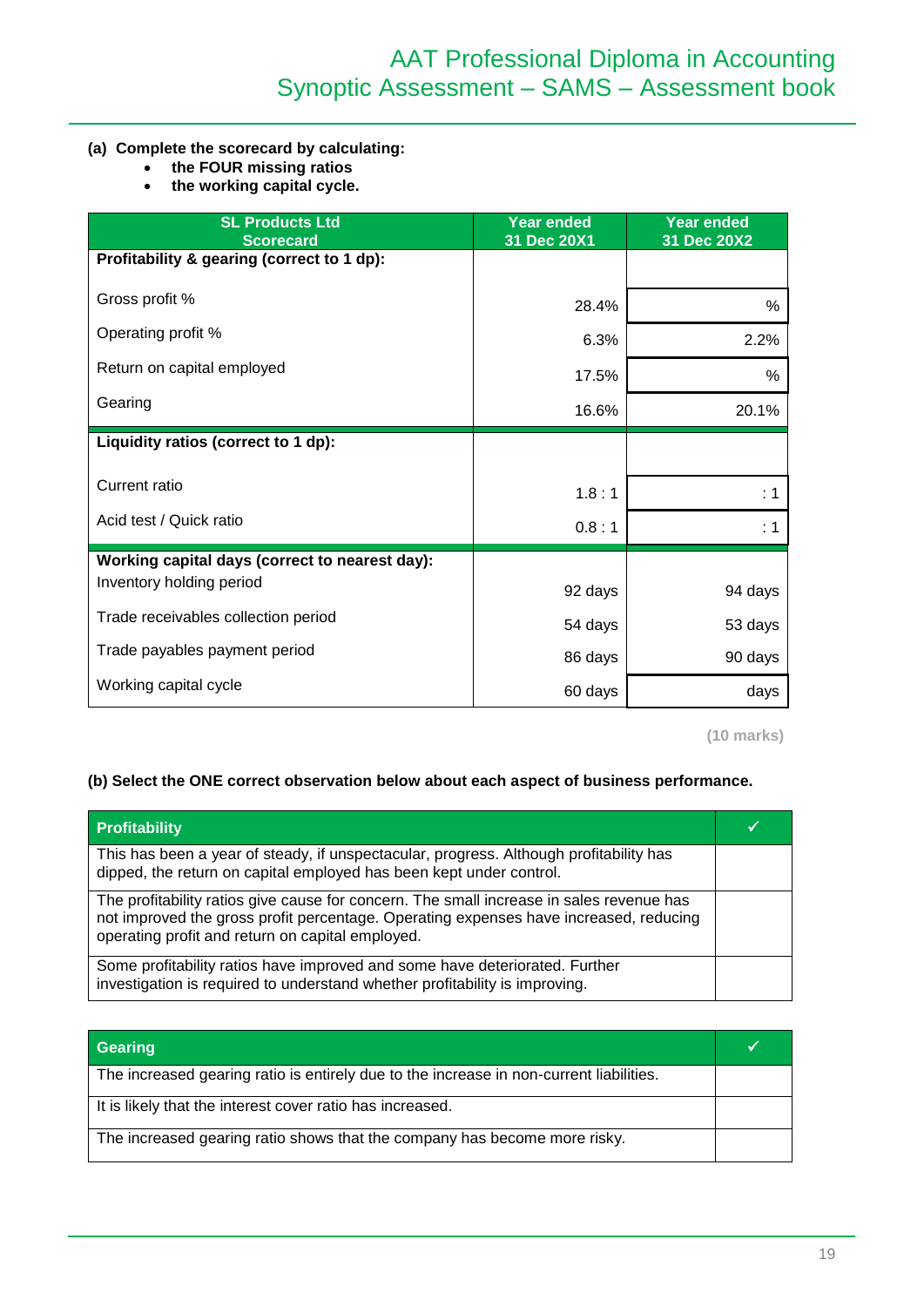#### **(a) Complete the scorecard by calculating:**

- **the FOUR missing ratios**
- **the working capital cycle.**

| <b>SL Products Ltd</b><br><b>Scorecard</b>     | <b>Year ended</b><br>31 Dec 20X1 | <b>Year ended</b><br>31 Dec 20X2 |
|------------------------------------------------|----------------------------------|----------------------------------|
| Profitability & gearing (correct to 1 dp):     |                                  |                                  |
| Gross profit %                                 | 28.4%                            | %                                |
| Operating profit %                             | 6.3%                             | 2.2%                             |
| Return on capital employed                     | 17.5%                            | %                                |
| Gearing                                        | 16.6%                            | 20.1%                            |
| Liquidity ratios (correct to 1 dp):            |                                  |                                  |
| <b>Current ratio</b>                           | 1.8:1                            | : 1                              |
| Acid test / Quick ratio                        | 0.8:1                            | : 1                              |
| Working capital days (correct to nearest day): |                                  |                                  |
| Inventory holding period                       | 92 days                          | 94 days                          |
| Trade receivables collection period            | 54 days                          | 53 days                          |
| Trade payables payment period                  | 86 days                          | 90 days                          |
| Working capital cycle                          | 60 days                          | days                             |

**(10 marks)**

#### **(b) Select the ONE correct observation below about each aspect of business performance.**

| <b>Profitability</b>                                                                                                                                                                                                                  |  |
|---------------------------------------------------------------------------------------------------------------------------------------------------------------------------------------------------------------------------------------|--|
| This has been a year of steady, if unspectacular, progress. Although profitability has<br>dipped, the return on capital employed has been kept under control.                                                                         |  |
| The profitability ratios give cause for concern. The small increase in sales revenue has<br>not improved the gross profit percentage. Operating expenses have increased, reducing<br>operating profit and return on capital employed. |  |
| Some profitability ratios have improved and some have deteriorated. Further<br>investigation is required to understand whether profitability is improving.                                                                            |  |

| Gearing                                                                                 |  |
|-----------------------------------------------------------------------------------------|--|
| The increased gearing ratio is entirely due to the increase in non-current liabilities. |  |
| It is likely that the interest cover ratio has increased.                               |  |
| The increased gearing ratio shows that the company has become more risky.               |  |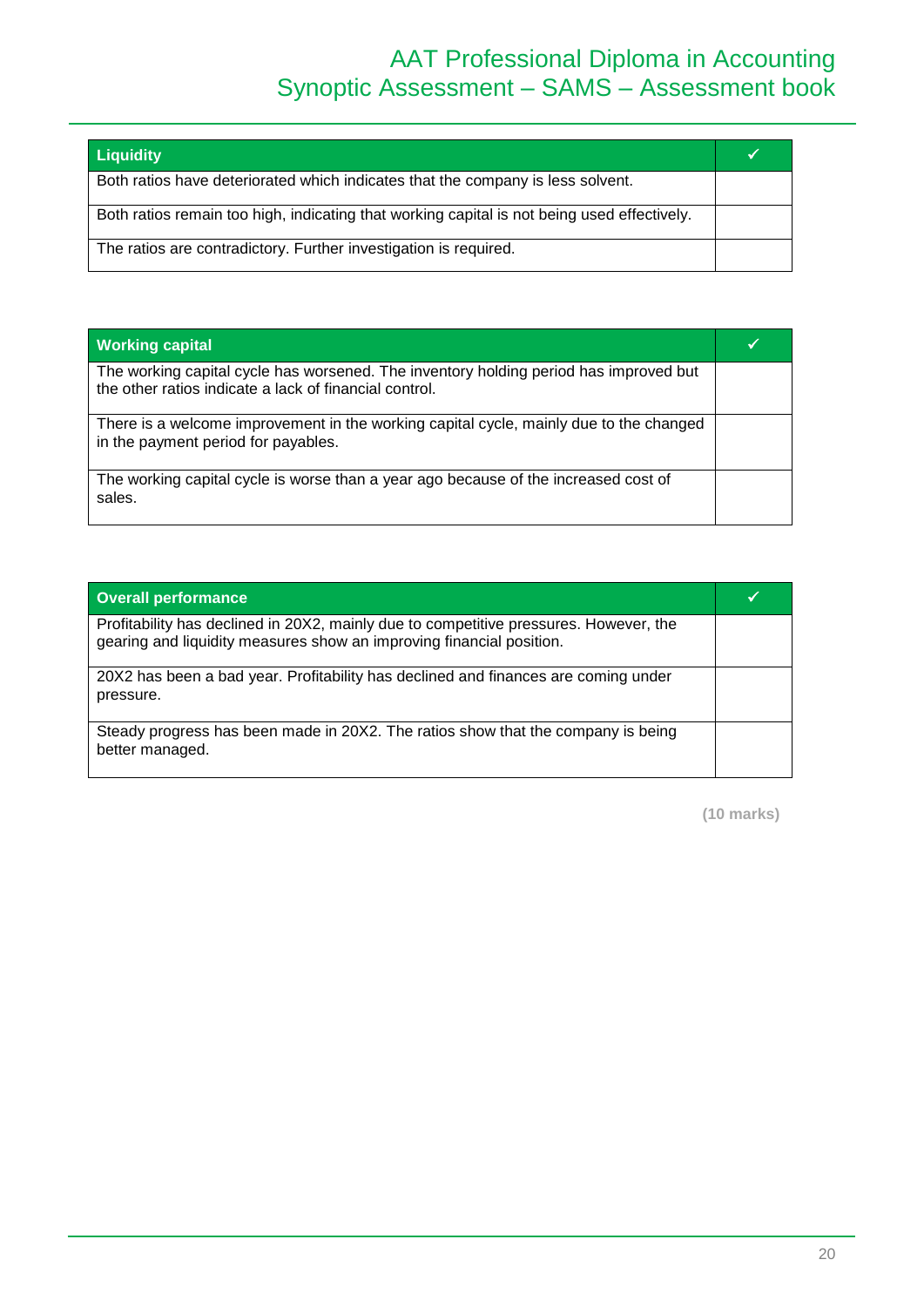# AAT Professional Diploma in Accounting Synoptic Assessment – SAMS – Assessment book

| <b>Liquidity</b>                                                                            |  |
|---------------------------------------------------------------------------------------------|--|
| Both ratios have deteriorated which indicates that the company is less solvent.             |  |
| Both ratios remain too high, indicating that working capital is not being used effectively. |  |
| The ratios are contradictory. Further investigation is required.                            |  |

| <b>Working capital</b>                                                                                                                          |  |
|-------------------------------------------------------------------------------------------------------------------------------------------------|--|
| The working capital cycle has worsened. The inventory holding period has improved but<br>the other ratios indicate a lack of financial control. |  |
| There is a welcome improvement in the working capital cycle, mainly due to the changed<br>in the payment period for payables.                   |  |
| The working capital cycle is worse than a year ago because of the increased cost of<br>sales.                                                   |  |

| Overall performance                                                                                                                                           |  |
|---------------------------------------------------------------------------------------------------------------------------------------------------------------|--|
| Profitability has declined in 20X2, mainly due to competitive pressures. However, the<br>gearing and liquidity measures show an improving financial position. |  |
| 20X2 has been a bad year. Profitability has declined and finances are coming under<br>pressure.                                                               |  |
| Steady progress has been made in 20X2. The ratios show that the company is being<br>better managed.                                                           |  |

**(10 marks)**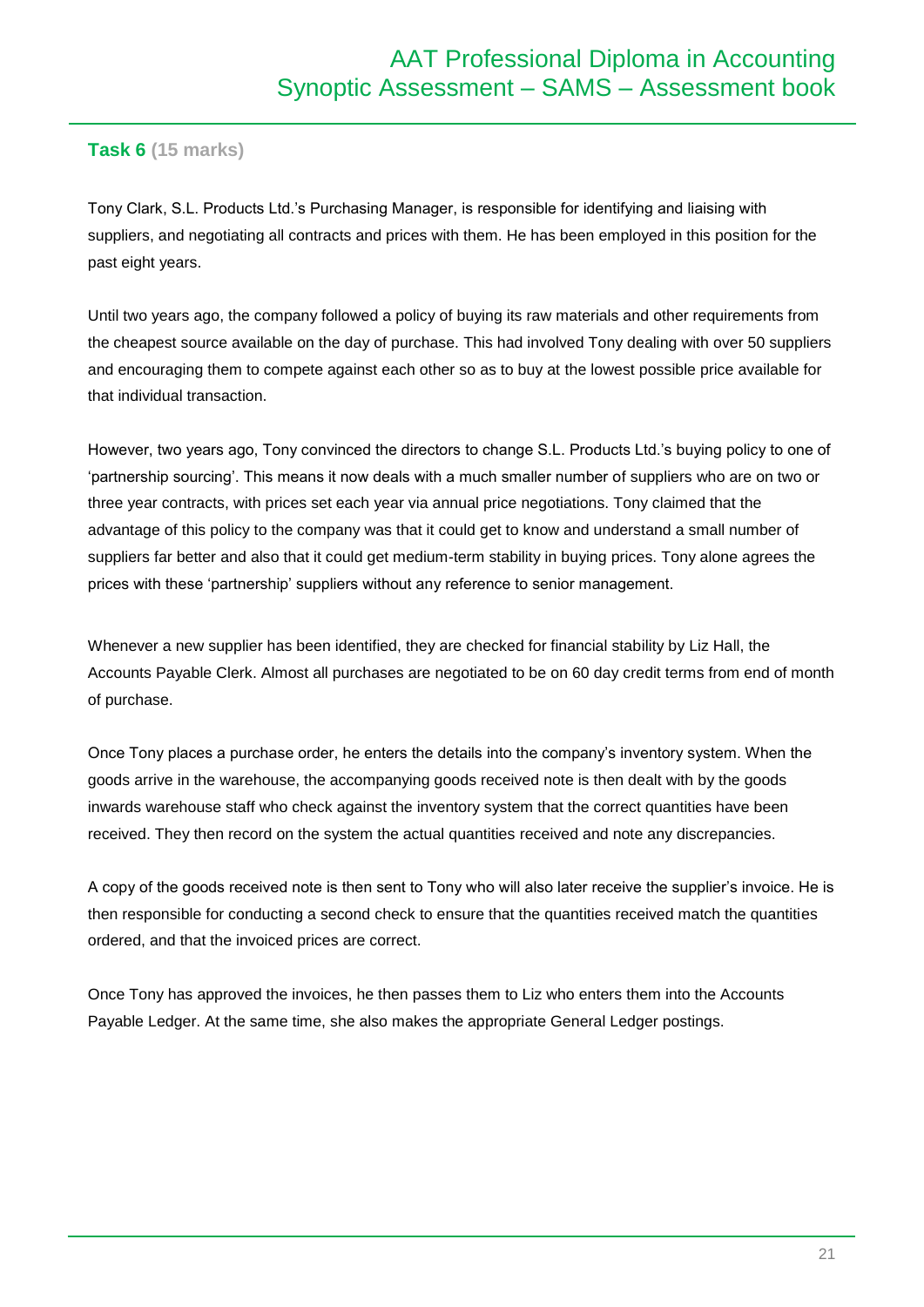### **Task 6 (15 marks)**

Tony Clark, S.L. Products Ltd.'s Purchasing Manager, is responsible for identifying and liaising with suppliers, and negotiating all contracts and prices with them. He has been employed in this position for the past eight years.

Until two years ago, the company followed a policy of buying its raw materials and other requirements from the cheapest source available on the day of purchase. This had involved Tony dealing with over 50 suppliers and encouraging them to compete against each other so as to buy at the lowest possible price available for that individual transaction.

However, two years ago, Tony convinced the directors to change S.L. Products Ltd.'s buying policy to one of 'partnership sourcing'. This means it now deals with a much smaller number of suppliers who are on two or three year contracts, with prices set each year via annual price negotiations. Tony claimed that the advantage of this policy to the company was that it could get to know and understand a small number of suppliers far better and also that it could get medium-term stability in buying prices. Tony alone agrees the prices with these 'partnership' suppliers without any reference to senior management.

Whenever a new supplier has been identified, they are checked for financial stability by Liz Hall, the Accounts Payable Clerk. Almost all purchases are negotiated to be on 60 day credit terms from end of month of purchase.

Once Tony places a purchase order, he enters the details into the company's inventory system. When the goods arrive in the warehouse, the accompanying goods received note is then dealt with by the goods inwards warehouse staff who check against the inventory system that the correct quantities have been received. They then record on the system the actual quantities received and note any discrepancies.

A copy of the goods received note is then sent to Tony who will also later receive the supplier's invoice. He is then responsible for conducting a second check to ensure that the quantities received match the quantities ordered, and that the invoiced prices are correct.

Once Tony has approved the invoices, he then passes them to Liz who enters them into the Accounts Payable Ledger. At the same time, she also makes the appropriate General Ledger postings.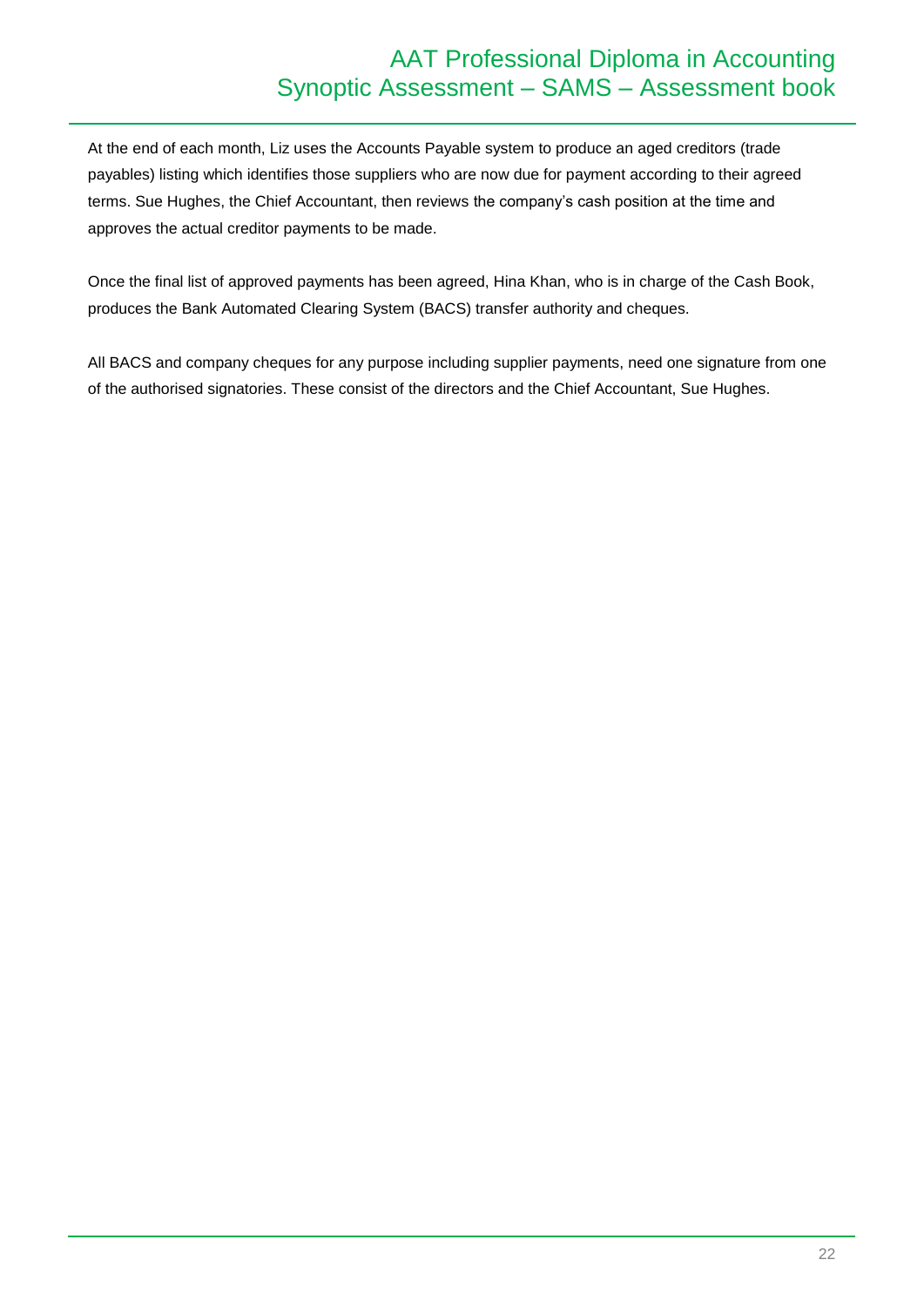# AAT Professional Diploma in Accounting Synoptic Assessment – SAMS – Assessment book

At the end of each month, Liz uses the Accounts Payable system to produce an aged creditors (trade payables) listing which identifies those suppliers who are now due for payment according to their agreed terms. Sue Hughes, the Chief Accountant, then reviews the company's cash position at the time and approves the actual creditor payments to be made.

Once the final list of approved payments has been agreed, Hina Khan, who is in charge of the Cash Book, produces the Bank Automated Clearing System (BACS) transfer authority and cheques.

All BACS and company cheques for any purpose including supplier payments, need one signature from one of the authorised signatories. These consist of the directors and the Chief Accountant, Sue Hughes.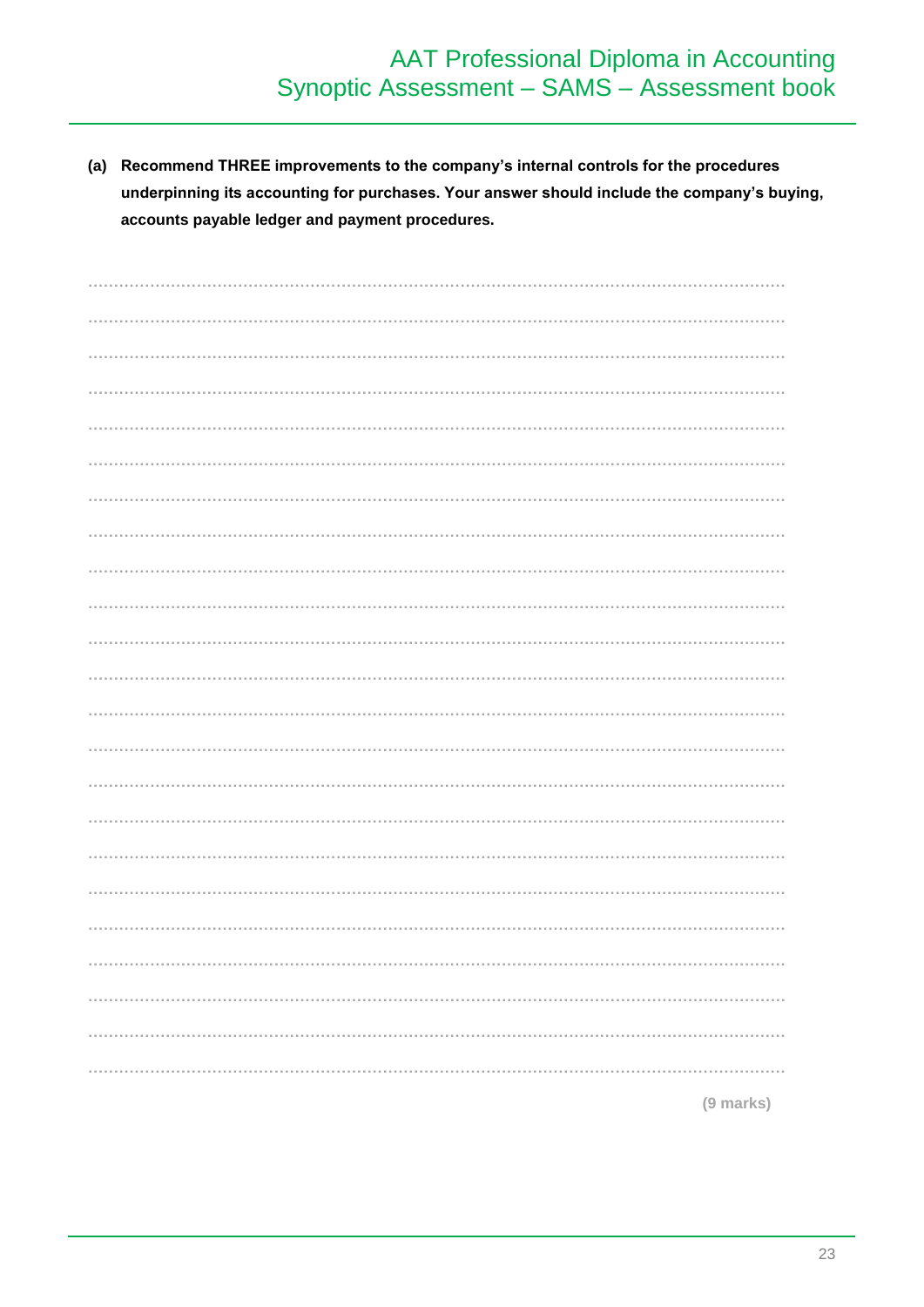# AAT Professional Diploma in Accounting<br>Synoptic Assessment - SAMS - Assessment book

(a) Recommend THREE improvements to the company's internal controls for the procedures underpinning its accounting for purchases. Your answer should include the company's buying, accounts payable ledger and payment procedures.

(9 marks)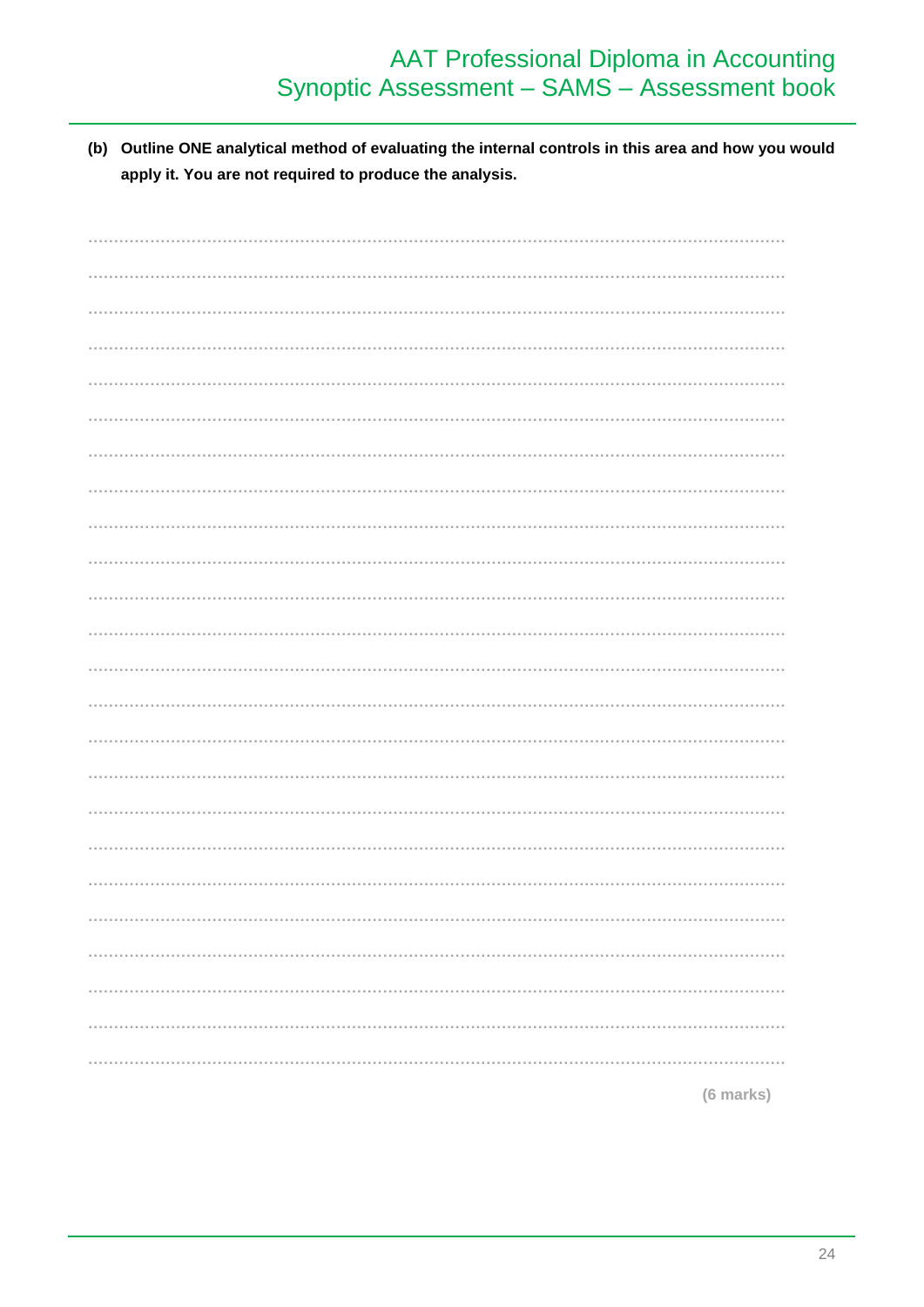(b) Outline ONE analytical method of evaluating the internal controls in this area and how you would apply it. You are not required to produce the analysis.

| (6 marks) |
|-----------|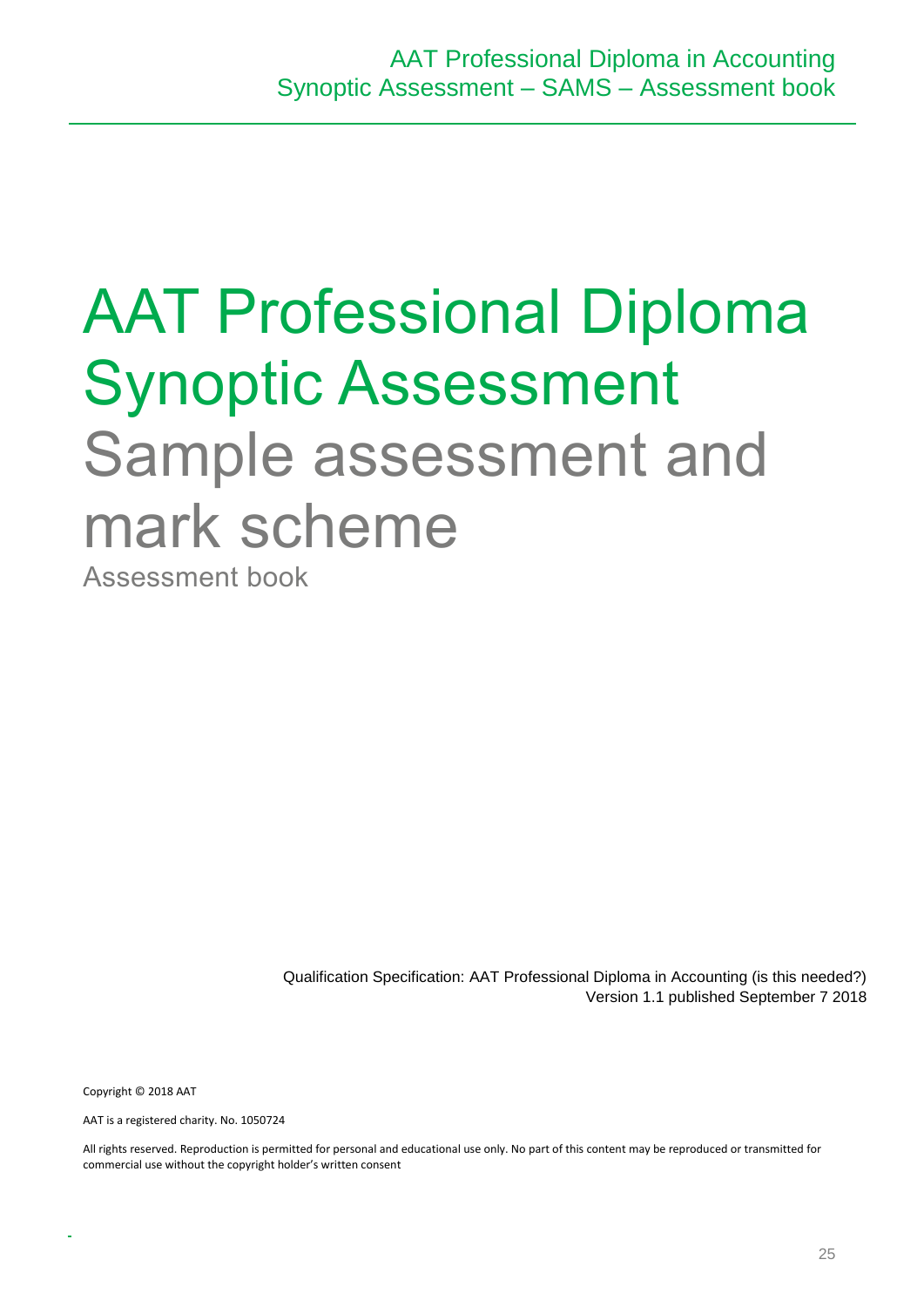# AAT Professional Diploma Synoptic Assessment Sample assessment and mark scheme

Assessment book

Qualification Specification: AAT Professional Diploma in Accounting (is this needed?) Version 1.1 published September 7 2018

Copyright © 2018 AAT

AAT is a registered charity. No. 1050724

All rights reserved. Reproduction is permitted for personal and educational use only. No part of this content may be reproduced or transmitted for commercial use without the copyright holder's written consent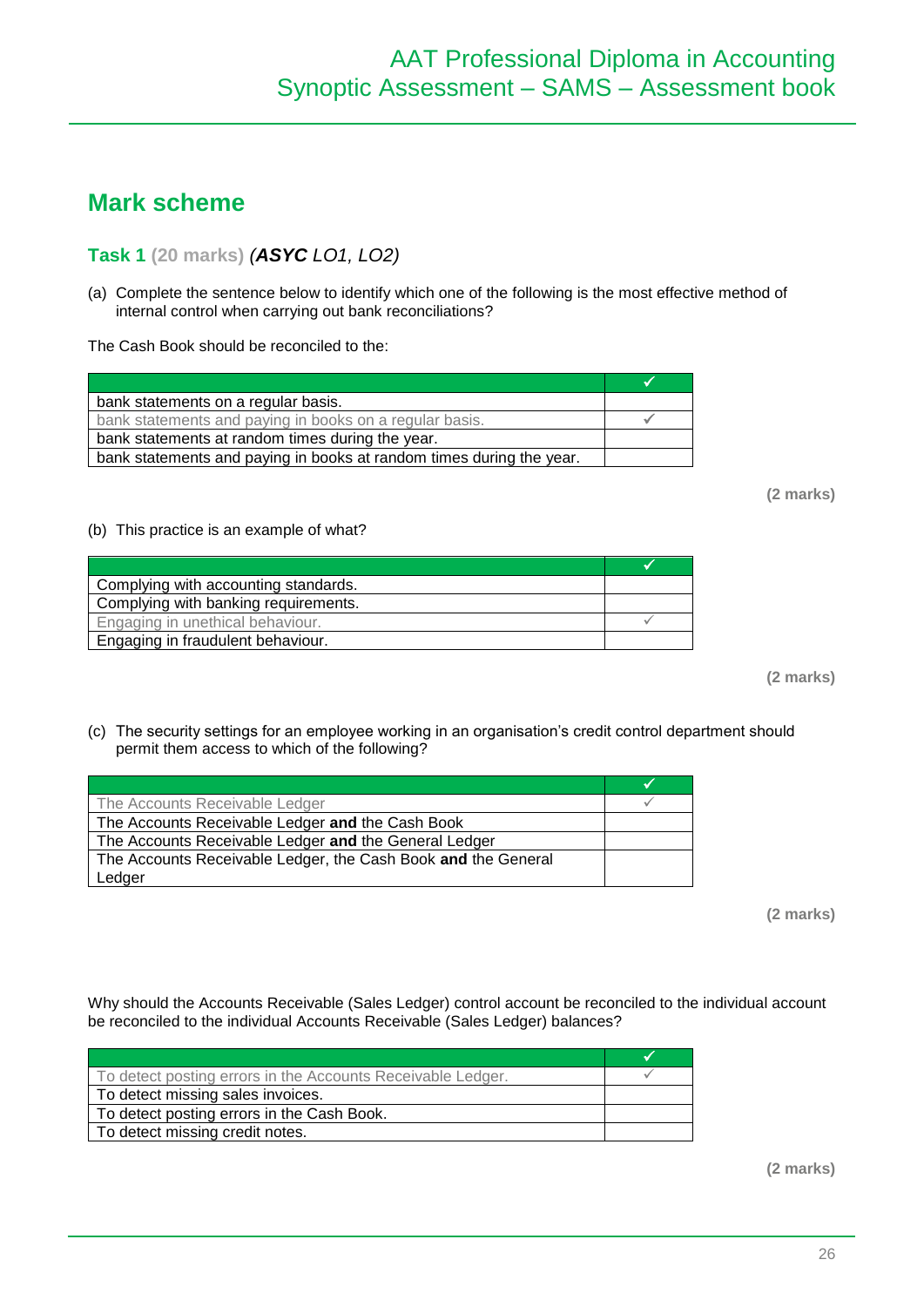# **Mark scheme**

## **Task 1 (20 marks)** *(ASYC LO1, LO2)*

(a) Complete the sentence below to identify which one of the following is the most effective method of internal control when carrying out bank reconciliations?

The Cash Book should be reconciled to the:

| bank statements on a regular basis.                                  |  |
|----------------------------------------------------------------------|--|
| bank statements and paying in books on a regular basis.              |  |
| bank statements at random times during the year.                     |  |
| bank statements and paying in books at random times during the year. |  |

**(2 marks)**

#### (b) This practice is an example of what?

| Complying with accounting standards. |  |
|--------------------------------------|--|
| Complying with banking requirements. |  |
| Engaging in unethical behaviour.     |  |
| Engaging in fraudulent behaviour.    |  |

**(2 marks)**

(c) The security settings for an employee working in an organisation's credit control department should permit them access to which of the following?

| The Accounts Receivable Ledger                                |  |
|---------------------------------------------------------------|--|
| The Accounts Receivable Ledger and the Cash Book              |  |
| The Accounts Receivable Ledger and the General Ledger         |  |
| The Accounts Receivable Ledger, the Cash Book and the General |  |
| Ledger                                                        |  |

**(2 marks)**

Why should the Accounts Receivable (Sales Ledger) control account be reconciled to the individual account be reconciled to the individual Accounts Receivable (Sales Ledger) balances?

| To detect posting errors in the Accounts Receivable Ledger. |  |  |
|-------------------------------------------------------------|--|--|
| To detect missing sales invoices.                           |  |  |
| To detect posting errors in the Cash Book.                  |  |  |
| To detect missing credit notes.                             |  |  |

**(2 marks)**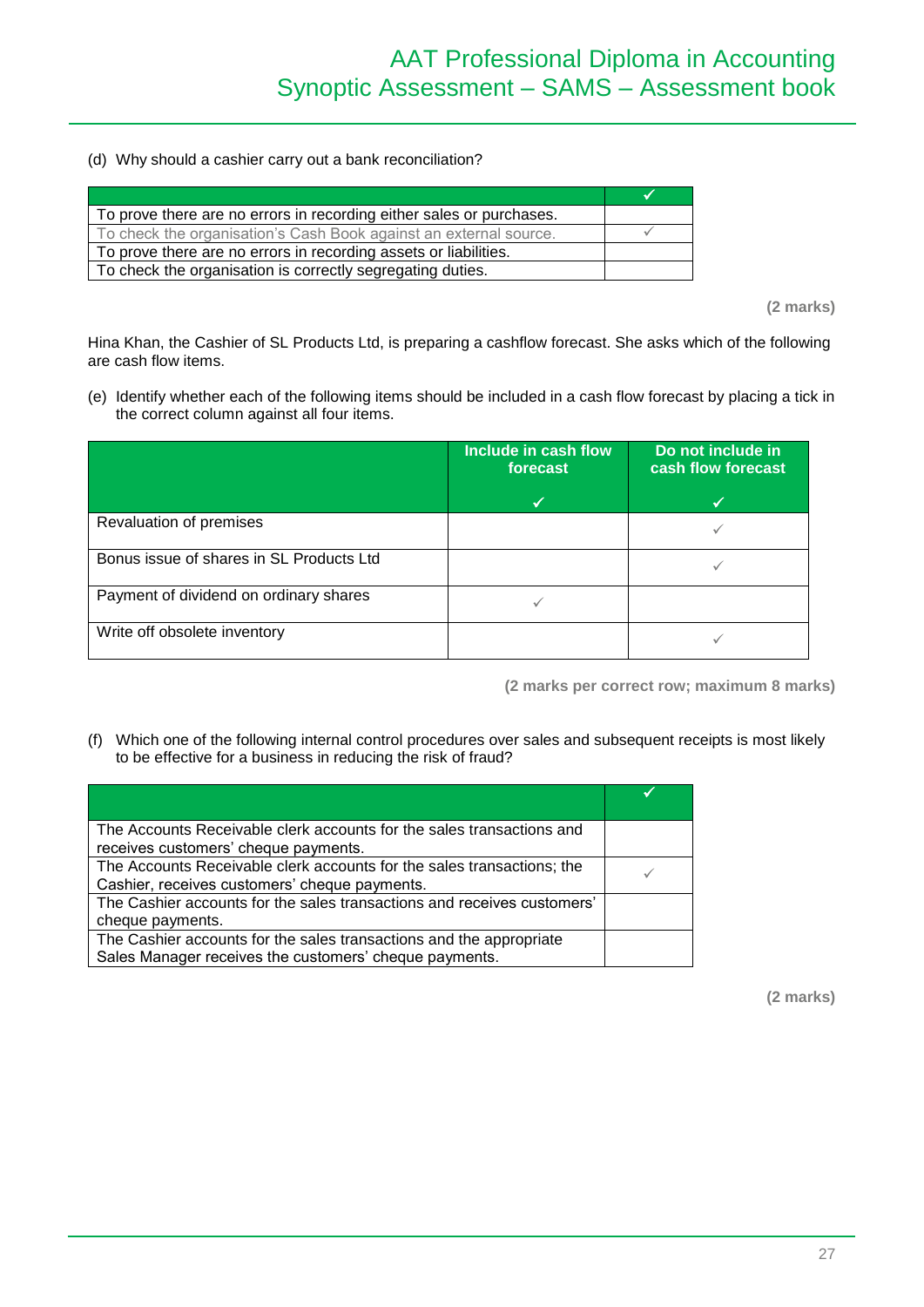(d) Why should a cashier carry out a bank reconciliation?

| To prove there are no errors in recording either sales or purchases. |  |
|----------------------------------------------------------------------|--|
| To check the organisation's Cash Book against an external source.    |  |
| To prove there are no errors in recording assets or liabilities.     |  |
| To check the organisation is correctly segregating duties.           |  |

**(2 marks)**

Hina Khan, the Cashier of SL Products Ltd, is preparing a cashflow forecast. She asks which of the following are cash flow items.

(e) Identify whether each of the following items should be included in a cash flow forecast by placing a tick in the correct column against all four items.

|                                          | Include in cash flow<br>forecast | Do not include in<br>cash flow forecast |
|------------------------------------------|----------------------------------|-----------------------------------------|
|                                          |                                  |                                         |
| Revaluation of premises                  |                                  |                                         |
| Bonus issue of shares in SL Products Ltd |                                  |                                         |
| Payment of dividend on ordinary shares   |                                  |                                         |
| Write off obsolete inventory             |                                  |                                         |

**(2 marks per correct row; maximum 8 marks)**

(f) Which one of the following internal control procedures over sales and subsequent receipts is most likely to be effective for a business in reducing the risk of fraud?

| The Accounts Receivable clerk accounts for the sales transactions and   |  |
|-------------------------------------------------------------------------|--|
| receives customers' cheque payments.                                    |  |
| The Accounts Receivable clerk accounts for the sales transactions; the  |  |
| Cashier, receives customers' cheque payments.                           |  |
| The Cashier accounts for the sales transactions and receives customers' |  |
| cheque payments.                                                        |  |
| The Cashier accounts for the sales transactions and the appropriate     |  |
| Sales Manager receives the customers' cheque payments.                  |  |

**(2 marks)**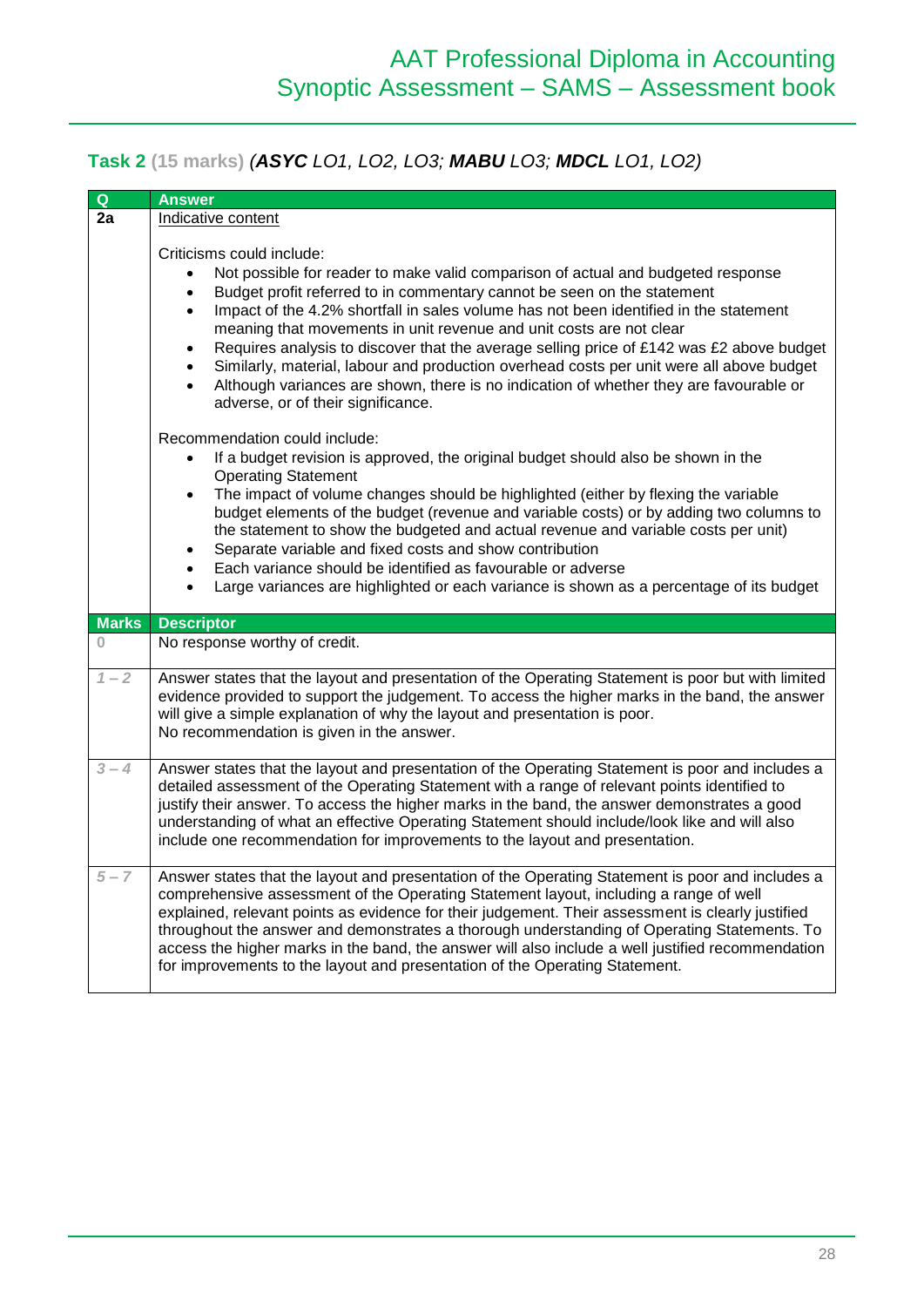# **Task 2 (15 marks)** *(ASYC LO1, LO2, LO3; MABU LO3; MDCL LO1, LO2)*

| $\mathbf Q$  | <b>Answer</b>                                                                                                                                                                                                                                                                                                                                                                                                                                                                                                                                                                                                                                                                                                                                     |  |  |
|--------------|---------------------------------------------------------------------------------------------------------------------------------------------------------------------------------------------------------------------------------------------------------------------------------------------------------------------------------------------------------------------------------------------------------------------------------------------------------------------------------------------------------------------------------------------------------------------------------------------------------------------------------------------------------------------------------------------------------------------------------------------------|--|--|
| 2a           | Indicative content                                                                                                                                                                                                                                                                                                                                                                                                                                                                                                                                                                                                                                                                                                                                |  |  |
|              | Criticisms could include:<br>Not possible for reader to make valid comparison of actual and budgeted response<br>Budget profit referred to in commentary cannot be seen on the statement<br>$\bullet$<br>Impact of the 4.2% shortfall in sales volume has not been identified in the statement<br>$\bullet$<br>meaning that movements in unit revenue and unit costs are not clear<br>Requires analysis to discover that the average selling price of £142 was £2 above budget<br>$\bullet$<br>Similarly, material, labour and production overhead costs per unit were all above budget<br>$\bullet$<br>Although variances are shown, there is no indication of whether they are favourable or<br>$\bullet$<br>adverse, or of their significance. |  |  |
|              | Recommendation could include:<br>If a budget revision is approved, the original budget should also be shown in the<br>$\bullet$<br><b>Operating Statement</b><br>The impact of volume changes should be highlighted (either by flexing the variable<br>$\bullet$<br>budget elements of the budget (revenue and variable costs) or by adding two columns to<br>the statement to show the budgeted and actual revenue and variable costs per unit)<br>Separate variable and fixed costs and show contribution<br>$\bullet$<br>Each variance should be identified as favourable or adverse<br>$\bullet$<br>Large variances are highlighted or each variance is shown as a percentage of its budget<br>$\bullet$                                      |  |  |
| <b>Marks</b> | <b>Descriptor</b>                                                                                                                                                                                                                                                                                                                                                                                                                                                                                                                                                                                                                                                                                                                                 |  |  |
| $\Omega$     | No response worthy of credit.                                                                                                                                                                                                                                                                                                                                                                                                                                                                                                                                                                                                                                                                                                                     |  |  |
| $1 - 2$      | Answer states that the layout and presentation of the Operating Statement is poor but with limited<br>evidence provided to support the judgement. To access the higher marks in the band, the answer<br>will give a simple explanation of why the layout and presentation is poor.<br>No recommendation is given in the answer.                                                                                                                                                                                                                                                                                                                                                                                                                   |  |  |
| $3 - 4$      | Answer states that the layout and presentation of the Operating Statement is poor and includes a<br>detailed assessment of the Operating Statement with a range of relevant points identified to<br>justify their answer. To access the higher marks in the band, the answer demonstrates a good<br>understanding of what an effective Operating Statement should include/look like and will also<br>include one recommendation for improvements to the layout and presentation.                                                                                                                                                                                                                                                                  |  |  |
| $5 - 7$      | Answer states that the layout and presentation of the Operating Statement is poor and includes a<br>comprehensive assessment of the Operating Statement layout, including a range of well<br>explained, relevant points as evidence for their judgement. Their assessment is clearly justified<br>throughout the answer and demonstrates a thorough understanding of Operating Statements. To<br>access the higher marks in the band, the answer will also include a well justified recommendation<br>for improvements to the layout and presentation of the Operating Statement.                                                                                                                                                                 |  |  |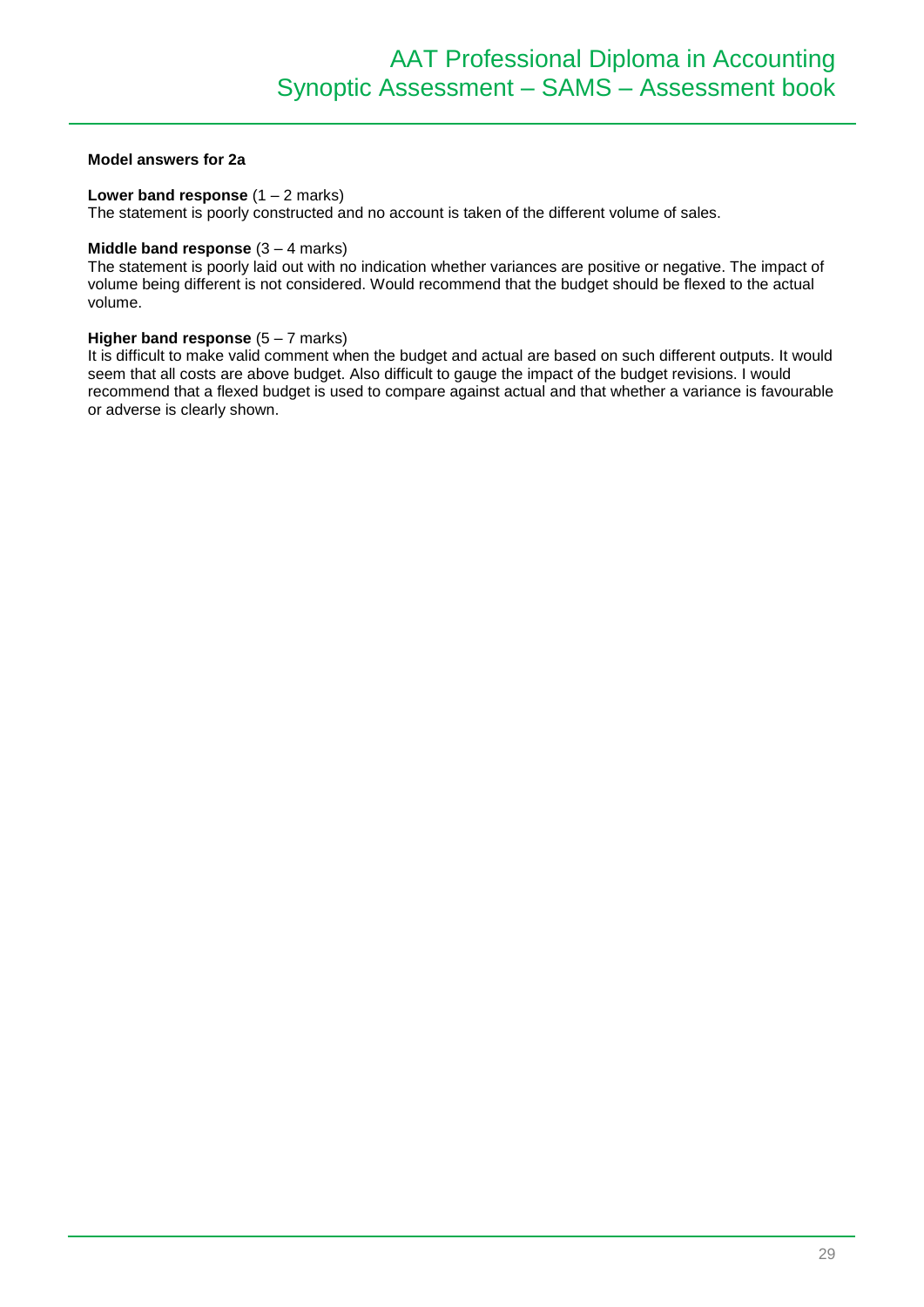#### **Model answers for 2a**

#### **Lower band response**  $(1 – 2$  marks)

The statement is poorly constructed and no account is taken of the different volume of sales.

#### **Middle band response** (3 – 4 marks)

The statement is poorly laid out with no indication whether variances are positive or negative. The impact of volume being different is not considered. Would recommend that the budget should be flexed to the actual volume.

#### **Higher band response** (5 – 7 marks)

It is difficult to make valid comment when the budget and actual are based on such different outputs. It would seem that all costs are above budget. Also difficult to gauge the impact of the budget revisions. I would recommend that a flexed budget is used to compare against actual and that whether a variance is favourable or adverse is clearly shown.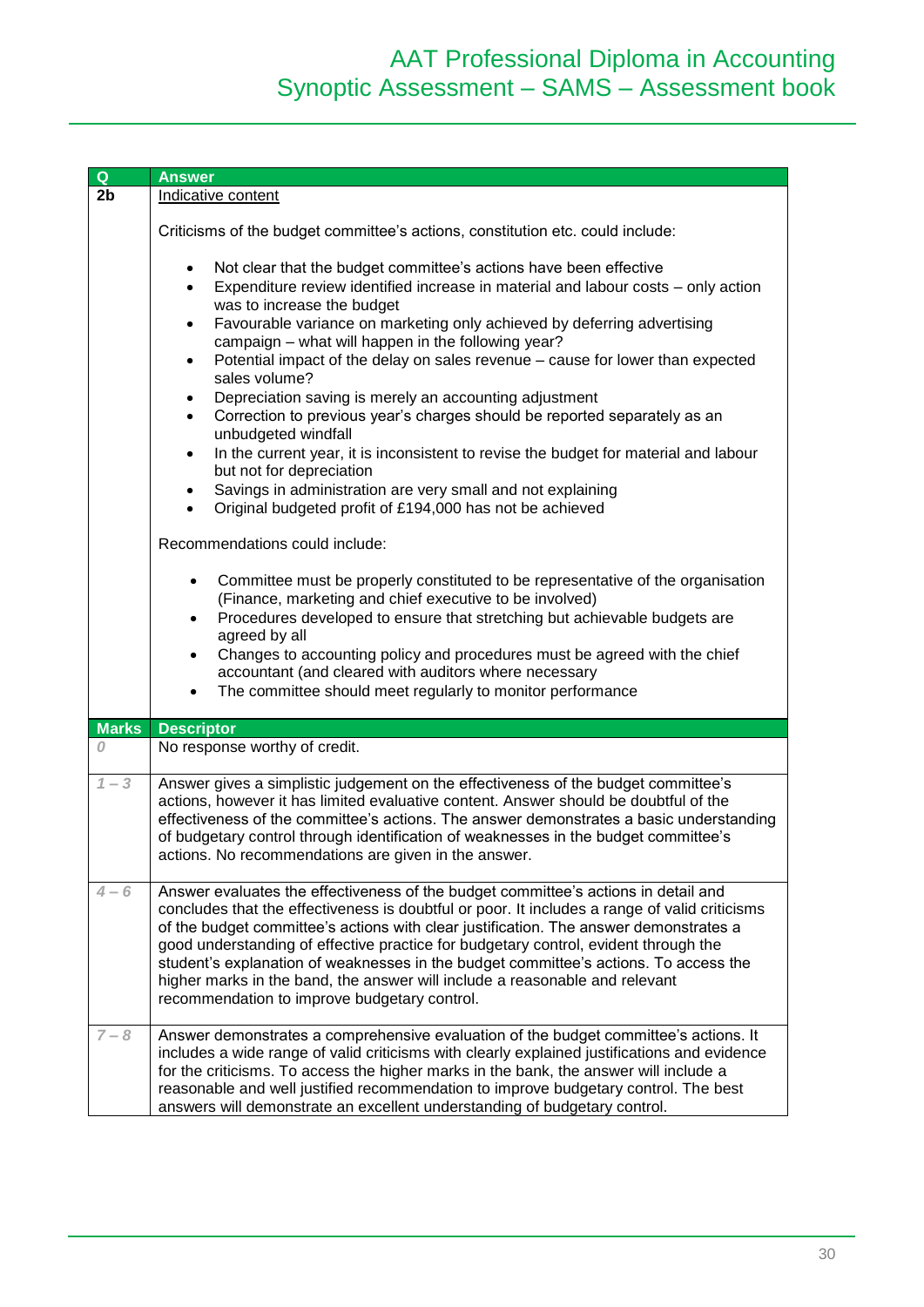| Q              | <b>Answer</b>                                                                                                                                                                                                                                                                                                                                                                                                                                                                                                                                                                              |  |  |
|----------------|--------------------------------------------------------------------------------------------------------------------------------------------------------------------------------------------------------------------------------------------------------------------------------------------------------------------------------------------------------------------------------------------------------------------------------------------------------------------------------------------------------------------------------------------------------------------------------------------|--|--|
| 2 <sub>b</sub> | Indicative content                                                                                                                                                                                                                                                                                                                                                                                                                                                                                                                                                                         |  |  |
|                |                                                                                                                                                                                                                                                                                                                                                                                                                                                                                                                                                                                            |  |  |
|                | Criticisms of the budget committee's actions, constitution etc. could include:                                                                                                                                                                                                                                                                                                                                                                                                                                                                                                             |  |  |
|                | Not clear that the budget committee's actions have been effective<br>$\bullet$<br>Expenditure review identified increase in material and labour costs - only action<br>$\bullet$<br>was to increase the budget<br>Favourable variance on marketing only achieved by deferring advertising<br>$\bullet$<br>campaign - what will happen in the following year?<br>Potential impact of the delay on sales revenue – cause for lower than expected<br>$\bullet$                                                                                                                                |  |  |
|                | sales volume?<br>Depreciation saving is merely an accounting adjustment<br>٠<br>Correction to previous year's charges should be reported separately as an<br>$\bullet$                                                                                                                                                                                                                                                                                                                                                                                                                     |  |  |
|                | unbudgeted windfall<br>In the current year, it is inconsistent to revise the budget for material and labour<br>$\bullet$<br>but not for depreciation                                                                                                                                                                                                                                                                                                                                                                                                                                       |  |  |
|                | Savings in administration are very small and not explaining<br>$\bullet$<br>Original budgeted profit of £194,000 has not be achieved<br>$\bullet$                                                                                                                                                                                                                                                                                                                                                                                                                                          |  |  |
|                | Recommendations could include:                                                                                                                                                                                                                                                                                                                                                                                                                                                                                                                                                             |  |  |
|                | Committee must be properly constituted to be representative of the organisation<br>$\bullet$<br>(Finance, marketing and chief executive to be involved)<br>Procedures developed to ensure that stretching but achievable budgets are<br>$\bullet$<br>agreed by all                                                                                                                                                                                                                                                                                                                         |  |  |
|                | Changes to accounting policy and procedures must be agreed with the chief<br>$\bullet$<br>accountant (and cleared with auditors where necessary<br>The committee should meet regularly to monitor performance<br>$\bullet$                                                                                                                                                                                                                                                                                                                                                                 |  |  |
| <b>Marks</b>   | <b>Descriptor</b>                                                                                                                                                                                                                                                                                                                                                                                                                                                                                                                                                                          |  |  |
| 0              | No response worthy of credit.                                                                                                                                                                                                                                                                                                                                                                                                                                                                                                                                                              |  |  |
| $1 - 3$        | Answer gives a simplistic judgement on the effectiveness of the budget committee's<br>actions, however it has limited evaluative content. Answer should be doubtful of the<br>effectiveness of the committee's actions. The answer demonstrates a basic understanding<br>of budgetary control through identification of weaknesses in the budget committee's<br>actions. No recommendations are given in the answer.                                                                                                                                                                       |  |  |
| $4 - 6$        | Answer evaluates the effectiveness of the budget committee's actions in detail and<br>concludes that the effectiveness is doubtful or poor. It includes a range of valid criticisms<br>of the budget committee's actions with clear justification. The answer demonstrates a<br>good understanding of effective practice for budgetary control, evident through the<br>student's explanation of weaknesses in the budget committee's actions. To access the<br>higher marks in the band, the answer will include a reasonable and relevant<br>recommendation to improve budgetary control. |  |  |
| $7 - 8$        | Answer demonstrates a comprehensive evaluation of the budget committee's actions. It<br>includes a wide range of valid criticisms with clearly explained justifications and evidence<br>for the criticisms. To access the higher marks in the bank, the answer will include a<br>reasonable and well justified recommendation to improve budgetary control. The best<br>answers will demonstrate an excellent understanding of budgetary control.                                                                                                                                          |  |  |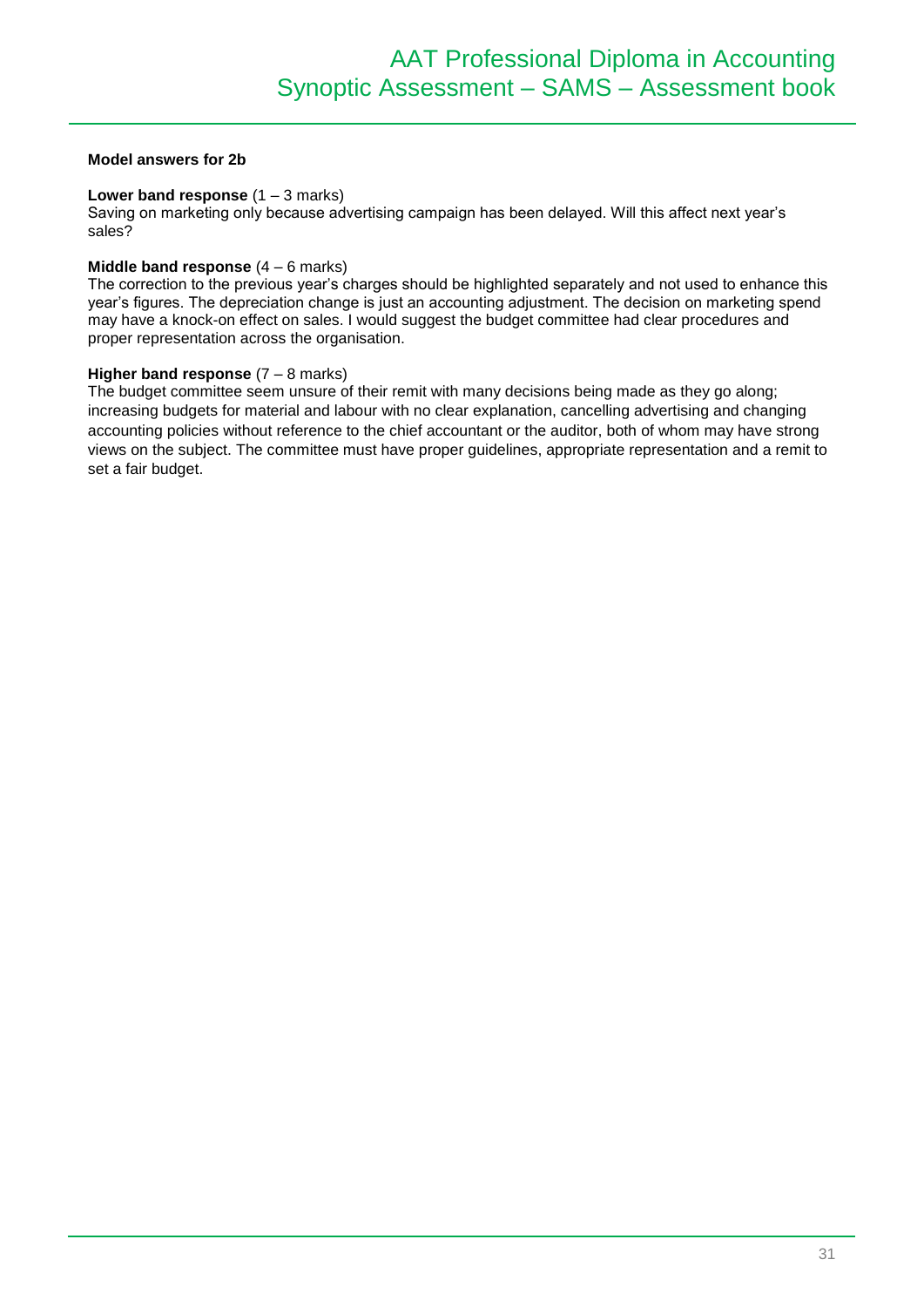#### **Model answers for 2b**

#### **Lower band response**  $(1 - 3$  marks)

Saving on marketing only because advertising campaign has been delayed. Will this affect next year's sales?

#### **Middle band response** (4 – 6 marks)

The correction to the previous year's charges should be highlighted separately and not used to enhance this year's figures. The depreciation change is just an accounting adjustment. The decision on marketing spend may have a knock-on effect on sales. I would suggest the budget committee had clear procedures and proper representation across the organisation.

#### **Higher band response**  $(7 - 8$  marks)

The budget committee seem unsure of their remit with many decisions being made as they go along; increasing budgets for material and labour with no clear explanation, cancelling advertising and changing accounting policies without reference to the chief accountant or the auditor, both of whom may have strong views on the subject. The committee must have proper guidelines, appropriate representation and a remit to set a fair budget.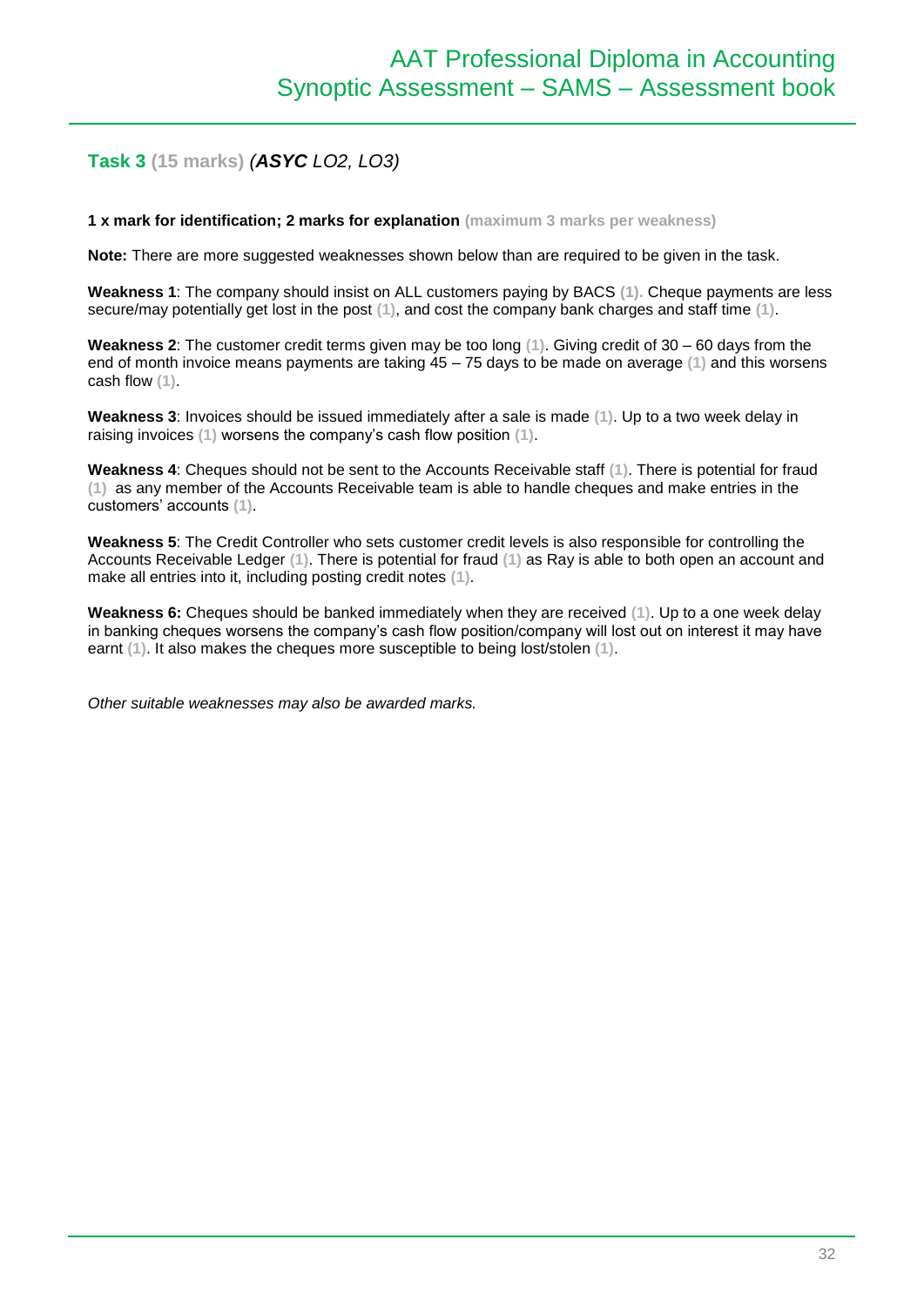## **Task 3 (15 marks)** *(ASYC LO2, LO3)*

**1 x mark for identification; 2 marks for explanation (maximum 3 marks per weakness)**

**Note:** There are more suggested weaknesses shown below than are required to be given in the task.

**Weakness 1**: The company should insist on ALL customers paying by BACS **(1).** Cheque payments are less secure/may potentially get lost in the post **(1)**, and cost the company bank charges and staff time **(1)**.

**Weakness 2**: The customer credit terms given may be too long **(1)**. Giving credit of 30 – 60 days from the end of month invoice means payments are taking 45 – 75 days to be made on average **(1)** and this worsens cash flow **(1)**.

**Weakness 3**: Invoices should be issued immediately after a sale is made **(1)**. Up to a two week delay in raising invoices **(1)** worsens the company's cash flow position **(1)**.

**Weakness 4**: Cheques should not be sent to the Accounts Receivable staff **(1)**. There is potential for fraud **(1)** as any member of the Accounts Receivable team is able to handle cheques and make entries in the customers' accounts **(1)**.

**Weakness 5**: The Credit Controller who sets customer credit levels is also responsible for controlling the Accounts Receivable Ledger **(1)**. There is potential for fraud **(1)** as Ray is able to both open an account and make all entries into it, including posting credit notes **(1)**.

**Weakness 6:** Cheques should be banked immediately when they are received **(1)**. Up to a one week delay in banking cheques worsens the company's cash flow position/company will lost out on interest it may have earnt **(1)**. It also makes the cheques more susceptible to being lost/stolen **(1)**.

*Other suitable weaknesses may also be awarded marks.*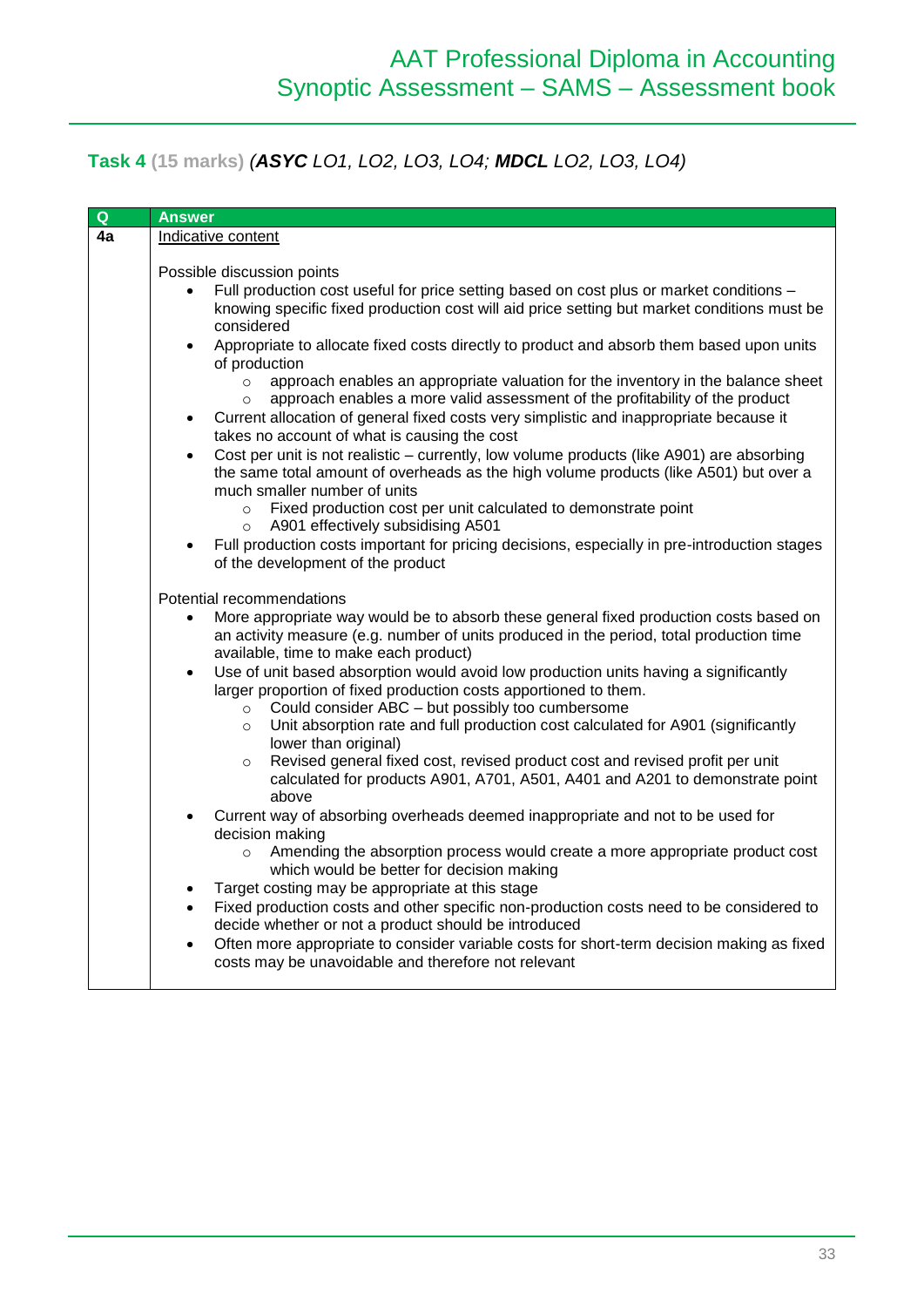# **Task 4 (15 marks)** *(ASYC LO1, LO2, LO3, LO4; MDCL LO2, LO3, LO4)*

| Q                                                                                       | <b>Answer</b>                                                                                                  |                                                                                                                                                  |  |  |
|-----------------------------------------------------------------------------------------|----------------------------------------------------------------------------------------------------------------|--------------------------------------------------------------------------------------------------------------------------------------------------|--|--|
| 4a                                                                                      | Indicative content                                                                                             |                                                                                                                                                  |  |  |
|                                                                                         |                                                                                                                |                                                                                                                                                  |  |  |
|                                                                                         | Possible discussion points                                                                                     |                                                                                                                                                  |  |  |
|                                                                                         | $\bullet$                                                                                                      | Full production cost useful for price setting based on cost plus or market conditions -                                                          |  |  |
|                                                                                         |                                                                                                                | knowing specific fixed production cost will aid price setting but market conditions must be                                                      |  |  |
|                                                                                         |                                                                                                                | considered                                                                                                                                       |  |  |
|                                                                                         | $\bullet$                                                                                                      | Appropriate to allocate fixed costs directly to product and absorb them based upon units<br>of production                                        |  |  |
|                                                                                         |                                                                                                                | approach enables an appropriate valuation for the inventory in the balance sheet<br>$\circ$                                                      |  |  |
|                                                                                         |                                                                                                                | approach enables a more valid assessment of the profitability of the product<br>$\circ$                                                          |  |  |
|                                                                                         | $\bullet$                                                                                                      | Current allocation of general fixed costs very simplistic and inappropriate because it<br>takes no account of what is causing the cost           |  |  |
|                                                                                         | $\bullet$                                                                                                      | Cost per unit is not realistic – currently, low volume products (like A901) are absorbing                                                        |  |  |
|                                                                                         |                                                                                                                | the same total amount of overheads as the high volume products (like A501) but over a<br>much smaller number of units                            |  |  |
|                                                                                         |                                                                                                                | Fixed production cost per unit calculated to demonstrate point<br>$\circ$                                                                        |  |  |
|                                                                                         |                                                                                                                | A901 effectively subsidising A501<br>$\circ$                                                                                                     |  |  |
|                                                                                         | $\bullet$                                                                                                      | Full production costs important for pricing decisions, especially in pre-introduction stages                                                     |  |  |
|                                                                                         |                                                                                                                | of the development of the product                                                                                                                |  |  |
|                                                                                         |                                                                                                                |                                                                                                                                                  |  |  |
|                                                                                         | Potential recommendations                                                                                      |                                                                                                                                                  |  |  |
|                                                                                         | $\bullet$                                                                                                      | More appropriate way would be to absorb these general fixed production costs based on                                                            |  |  |
| an activity measure (e.g. number of units produced in the period, total production time | available, time to make each product)                                                                          |                                                                                                                                                  |  |  |
| $\bullet$                                                                               |                                                                                                                | Use of unit based absorption would avoid low production units having a significantly                                                             |  |  |
|                                                                                         |                                                                                                                | larger proportion of fixed production costs apportioned to them.                                                                                 |  |  |
|                                                                                         |                                                                                                                | Could consider ABC - but possibly too cumbersome<br>$\circ$                                                                                      |  |  |
|                                                                                         |                                                                                                                | Unit absorption rate and full production cost calculated for A901 (significantly<br>$\circ$                                                      |  |  |
|                                                                                         |                                                                                                                | lower than original)                                                                                                                             |  |  |
|                                                                                         |                                                                                                                | Revised general fixed cost, revised product cost and revised profit per unit<br>$\circ$                                                          |  |  |
|                                                                                         | calculated for products A901, A701, A501, A401 and A201 to demonstrate point                                   |                                                                                                                                                  |  |  |
|                                                                                         |                                                                                                                | above                                                                                                                                            |  |  |
|                                                                                         | Current way of absorbing overheads deemed inappropriate and not to be used for<br>$\bullet$<br>decision making |                                                                                                                                                  |  |  |
|                                                                                         |                                                                                                                | Amending the absorption process would create a more appropriate product cost<br>$\circ$                                                          |  |  |
|                                                                                         |                                                                                                                | which would be better for decision making                                                                                                        |  |  |
|                                                                                         | $\bullet$                                                                                                      | Target costing may be appropriate at this stage                                                                                                  |  |  |
|                                                                                         | $\bullet$                                                                                                      | Fixed production costs and other specific non-production costs need to be considered to                                                          |  |  |
|                                                                                         |                                                                                                                | decide whether or not a product should be introduced                                                                                             |  |  |
|                                                                                         |                                                                                                                | Often more appropriate to consider variable costs for short-term decision making as fixed<br>costs may be unavoidable and therefore not relevant |  |  |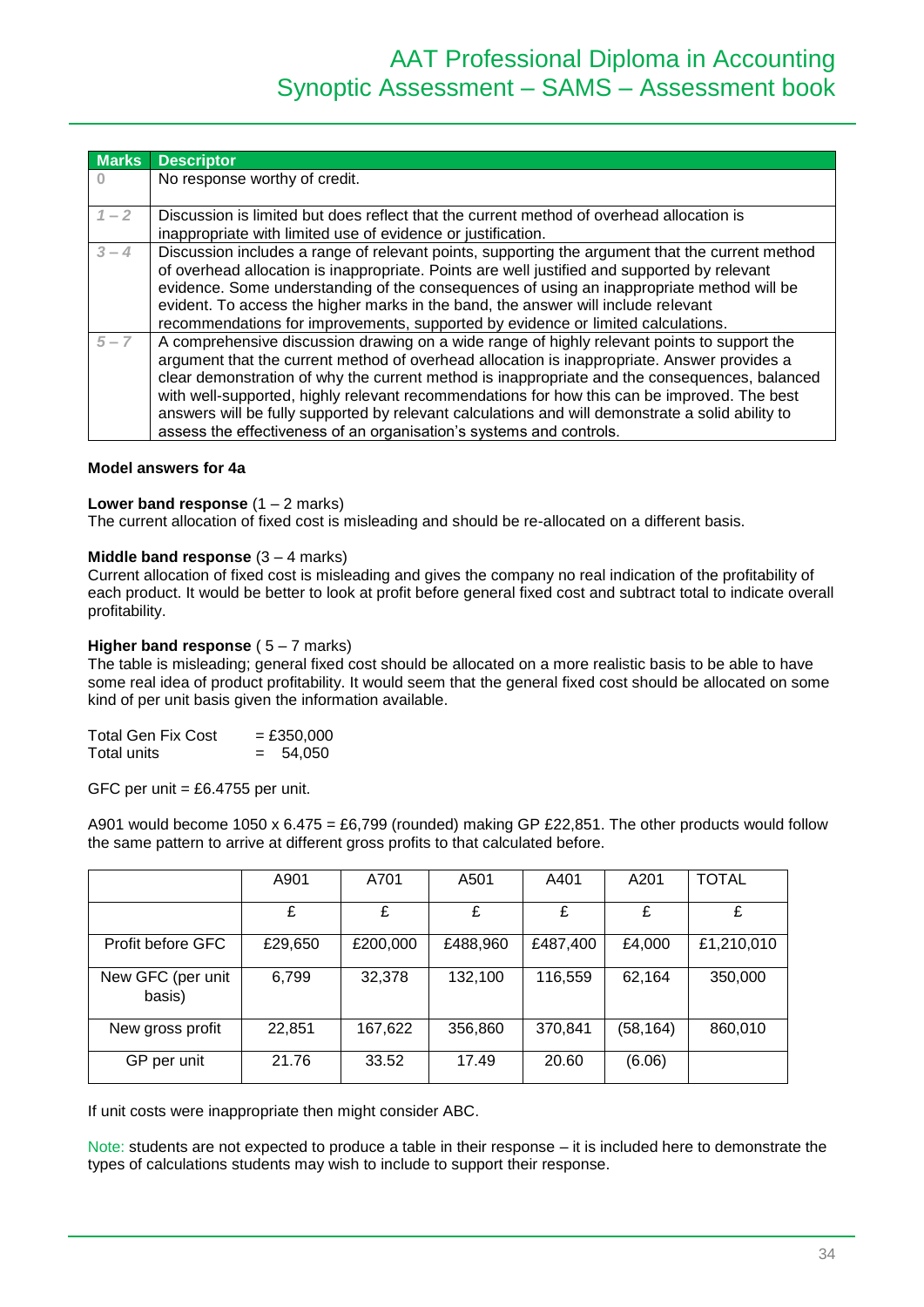| <b>Marks</b> | <b>Descriptor</b>                                                                                                                                                                                                                                                                                                                                                                                                                                                                                                                                                     |
|--------------|-----------------------------------------------------------------------------------------------------------------------------------------------------------------------------------------------------------------------------------------------------------------------------------------------------------------------------------------------------------------------------------------------------------------------------------------------------------------------------------------------------------------------------------------------------------------------|
|              | No response worthy of credit.                                                                                                                                                                                                                                                                                                                                                                                                                                                                                                                                         |
|              |                                                                                                                                                                                                                                                                                                                                                                                                                                                                                                                                                                       |
| $1 - 2$      | Discussion is limited but does reflect that the current method of overhead allocation is<br>inappropriate with limited use of evidence or justification.                                                                                                                                                                                                                                                                                                                                                                                                              |
| $3 - 4$      | Discussion includes a range of relevant points, supporting the argument that the current method<br>of overhead allocation is inappropriate. Points are well justified and supported by relevant<br>evidence. Some understanding of the consequences of using an inappropriate method will be<br>evident. To access the higher marks in the band, the answer will include relevant<br>recommendations for improvements, supported by evidence or limited calculations.                                                                                                 |
| $5 - 7$      | A comprehensive discussion drawing on a wide range of highly relevant points to support the<br>argument that the current method of overhead allocation is inappropriate. Answer provides a<br>clear demonstration of why the current method is inappropriate and the consequences, balanced<br>with well-supported, highly relevant recommendations for how this can be improved. The best<br>answers will be fully supported by relevant calculations and will demonstrate a solid ability to<br>assess the effectiveness of an organisation's systems and controls. |

#### **Model answers for 4a**

#### **Lower band response** (1 – 2 marks)

The current allocation of fixed cost is misleading and should be re-allocated on a different basis.

#### **Middle band response** (3 – 4 marks)

Current allocation of fixed cost is misleading and gives the company no real indication of the profitability of each product. It would be better to look at profit before general fixed cost and subtract total to indicate overall profitability.

#### **Higher band response** (5 – 7 marks)

The table is misleading; general fixed cost should be allocated on a more realistic basis to be able to have some real idea of product profitability. It would seem that the general fixed cost should be allocated on some kind of per unit basis given the information available.

| Total Gen Fix Cost | $=$ £350,000  |
|--------------------|---------------|
| Total units        | 54,050<br>$=$ |

GFC per unit  $=$  £6.4755 per unit.

A901 would become 1050 x  $6.475 = £6,799$  (rounded) making GP £22,851. The other products would follow the same pattern to arrive at different gross profits to that calculated before.

|                             | A901    | A701     | A501     | A401     | A201      | <b>TOTAL</b> |
|-----------------------------|---------|----------|----------|----------|-----------|--------------|
|                             | £       | £        | £        | £        | £         | £            |
| Profit before GFC           | £29,650 | £200,000 | £488,960 | £487,400 | £4,000    | £1,210,010   |
| New GFC (per unit<br>basis) | 6,799   | 32,378   | 132,100  | 116,559  | 62,164    | 350,000      |
| New gross profit            | 22,851  | 167,622  | 356,860  | 370,841  | (58, 164) | 860,010      |
| GP per unit                 | 21.76   | 33.52    | 17.49    | 20.60    | (6.06)    |              |

If unit costs were inappropriate then might consider ABC.

Note: students are not expected to produce a table in their response – it is included here to demonstrate the types of calculations students may wish to include to support their response.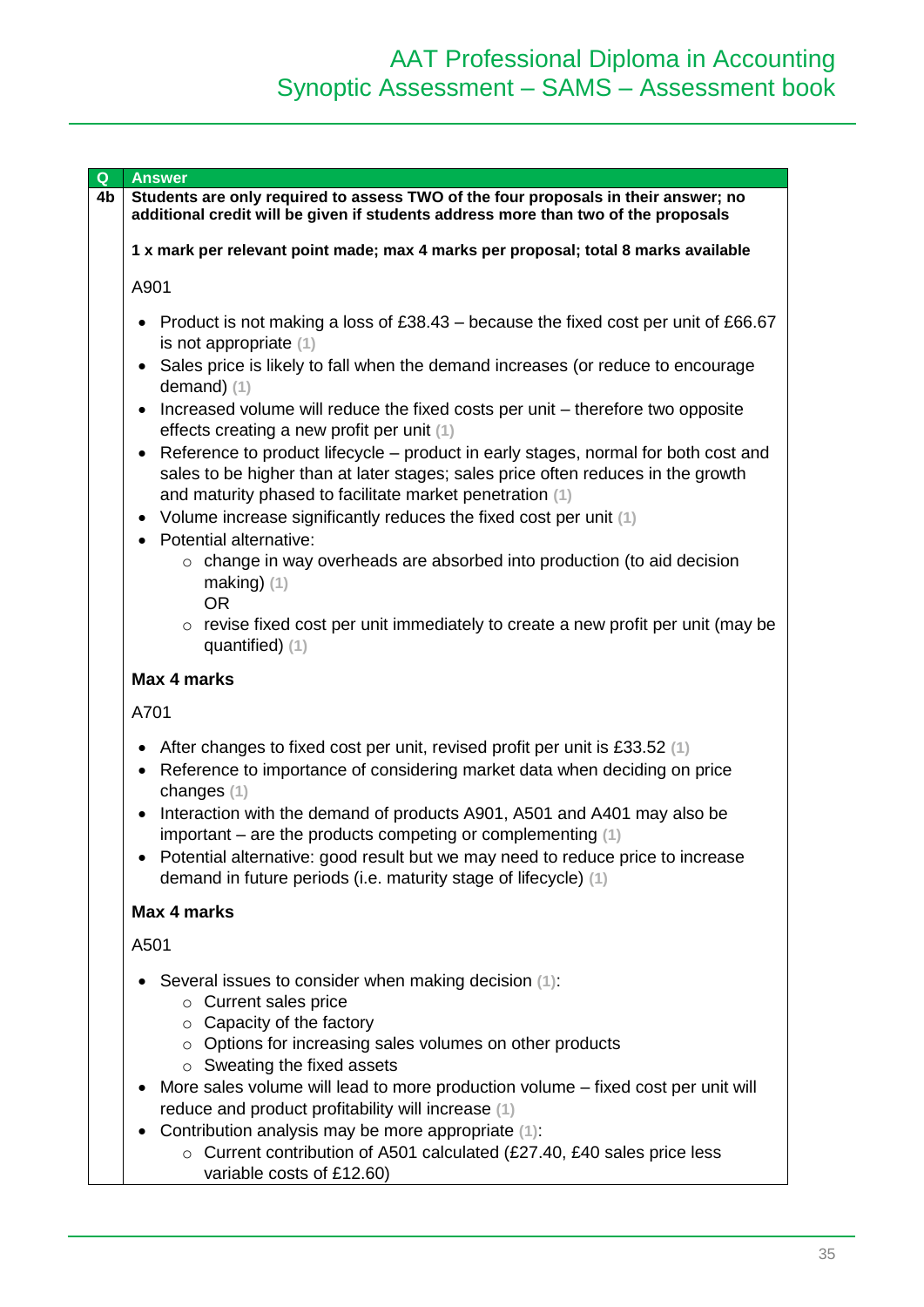| Q  | <b>Answer</b>                                                                                                                                                                                                                                   |
|----|-------------------------------------------------------------------------------------------------------------------------------------------------------------------------------------------------------------------------------------------------|
| 4b | Students are only required to assess TWO of the four proposals in their answer; no<br>additional credit will be given if students address more than two of the proposals                                                                        |
|    | 1 x mark per relevant point made; max 4 marks per proposal; total 8 marks available                                                                                                                                                             |
|    | A901                                                                                                                                                                                                                                            |
|    | Product is not making a loss of £38.43 – because the fixed cost per unit of £66.67<br>is not appropriate $(1)$                                                                                                                                  |
|    | Sales price is likely to fall when the demand increases (or reduce to encourage<br>demand) $(1)$                                                                                                                                                |
|    | Increased volume will reduce the fixed costs per unit – therefore two opposite<br>effects creating a new profit per unit (1)                                                                                                                    |
|    | Reference to product lifecycle – product in early stages, normal for both cost and<br>$\bullet$<br>sales to be higher than at later stages; sales price often reduces in the growth<br>and maturity phased to facilitate market penetration (1) |
|    | Volume increase significantly reduces the fixed cost per unit (1)<br>Potential alternative:                                                                                                                                                     |
|    | change in way overheads are absorbed into production (to aid decision<br>making $(1)$<br><b>OR</b>                                                                                                                                              |
|    | $\circ$ revise fixed cost per unit immediately to create a new profit per unit (may be<br>quantified) (1)                                                                                                                                       |
|    | Max 4 marks                                                                                                                                                                                                                                     |
|    | A701                                                                                                                                                                                                                                            |
|    | After changes to fixed cost per unit, revised profit per unit is £33.52 (1)<br>Reference to importance of considering market data when deciding on price<br>changes (1)                                                                         |
|    | Interaction with the demand of products A901, A501 and A401 may also be<br>important – are the products competing or complementing $(1)$                                                                                                        |
|    | Potential alternative: good result but we may need to reduce price to increase<br>demand in future periods (i.e. maturity stage of lifecycle) (1)                                                                                               |
|    | Max 4 marks                                                                                                                                                                                                                                     |
|    | A501                                                                                                                                                                                                                                            |
|    | Several issues to consider when making decision (1):<br>$\circ$ Current sales price<br>$\circ$ Capacity of the factory                                                                                                                          |
|    | $\circ$ Options for increasing sales volumes on other products<br>$\circ$ Sweating the fixed assets                                                                                                                                             |
|    | More sales volume will lead to more production volume – fixed cost per unit will<br>reduce and product profitability will increase (1)                                                                                                          |
|    | Contribution analysis may be more appropriate (1):                                                                                                                                                                                              |
|    | $\circ$ Current contribution of A501 calculated (£27.40, £40 sales price less<br>variable costs of £12.60)                                                                                                                                      |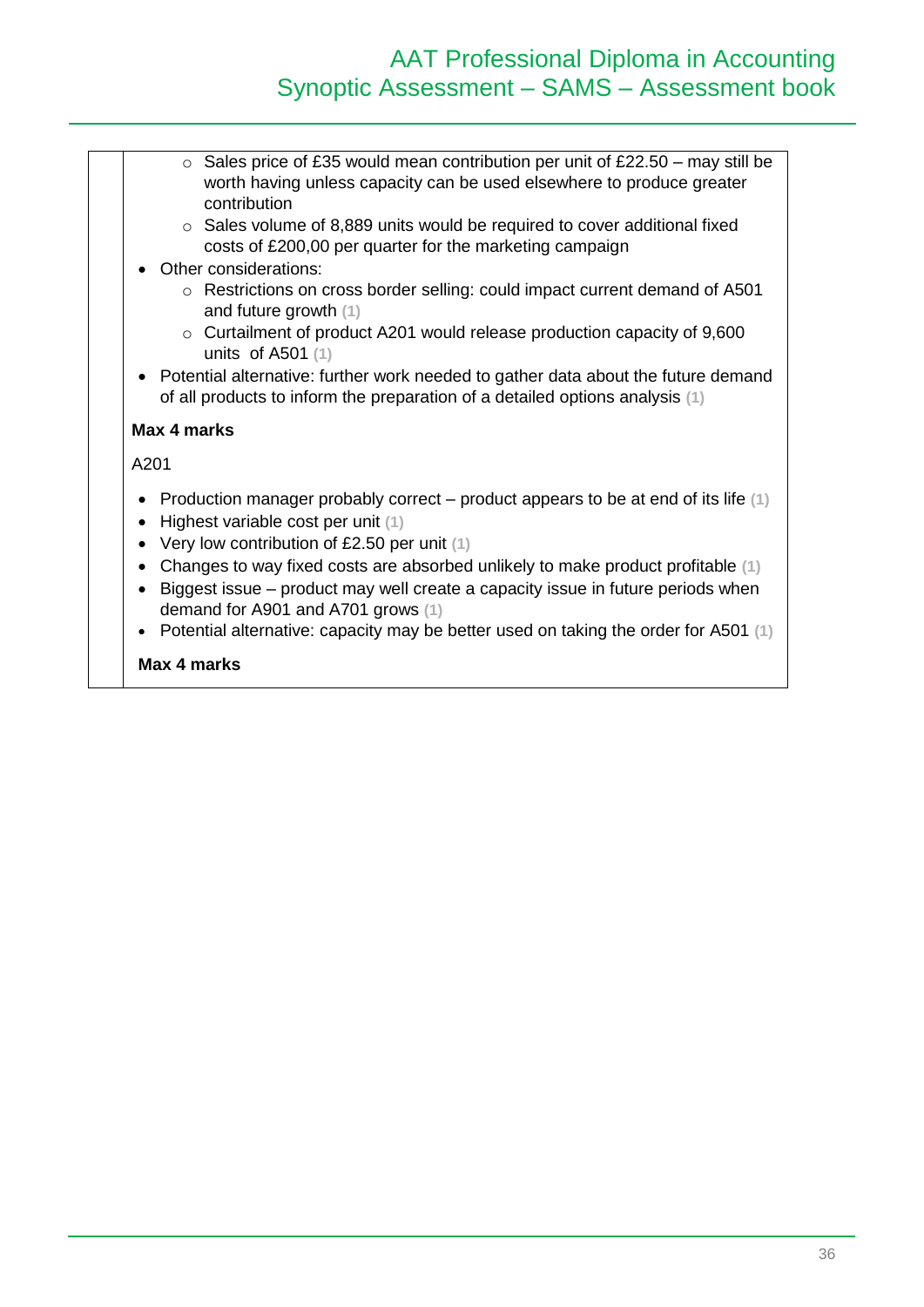# AAT Professional Diploma in Accounting Synoptic Assessment – SAMS – Assessment book

- $\circ$  Sales price of £35 would mean contribution per unit of £22.50 may still be worth having unless capacity can be used elsewhere to produce greater contribution
- o Sales volume of 8,889 units would be required to cover additional fixed costs of £200,00 per quarter for the marketing campaign
- Other considerations:
	- o Restrictions on cross border selling: could impact current demand of A501 and future growth **(1)**
	- o Curtailment of product A201 would release production capacity of 9,600 units of A501 **(1)**
- Potential alternative: further work needed to gather data about the future demand of all products to inform the preparation of a detailed options analysis **(1)**

#### **Max 4 marks**

A201

- Production manager probably correct product appears to be at end of its life **(1)**
- Highest variable cost per unit **(1)**
- Very low contribution of £2.50 per unit **(1)**
- Changes to way fixed costs are absorbed unlikely to make product profitable **(1)**
- Biggest issue product may well create a capacity issue in future periods when demand for A901 and A701 grows **(1)**
- Potential alternative: capacity may be better used on taking the order for A501 **(1)**

#### **Max 4 marks**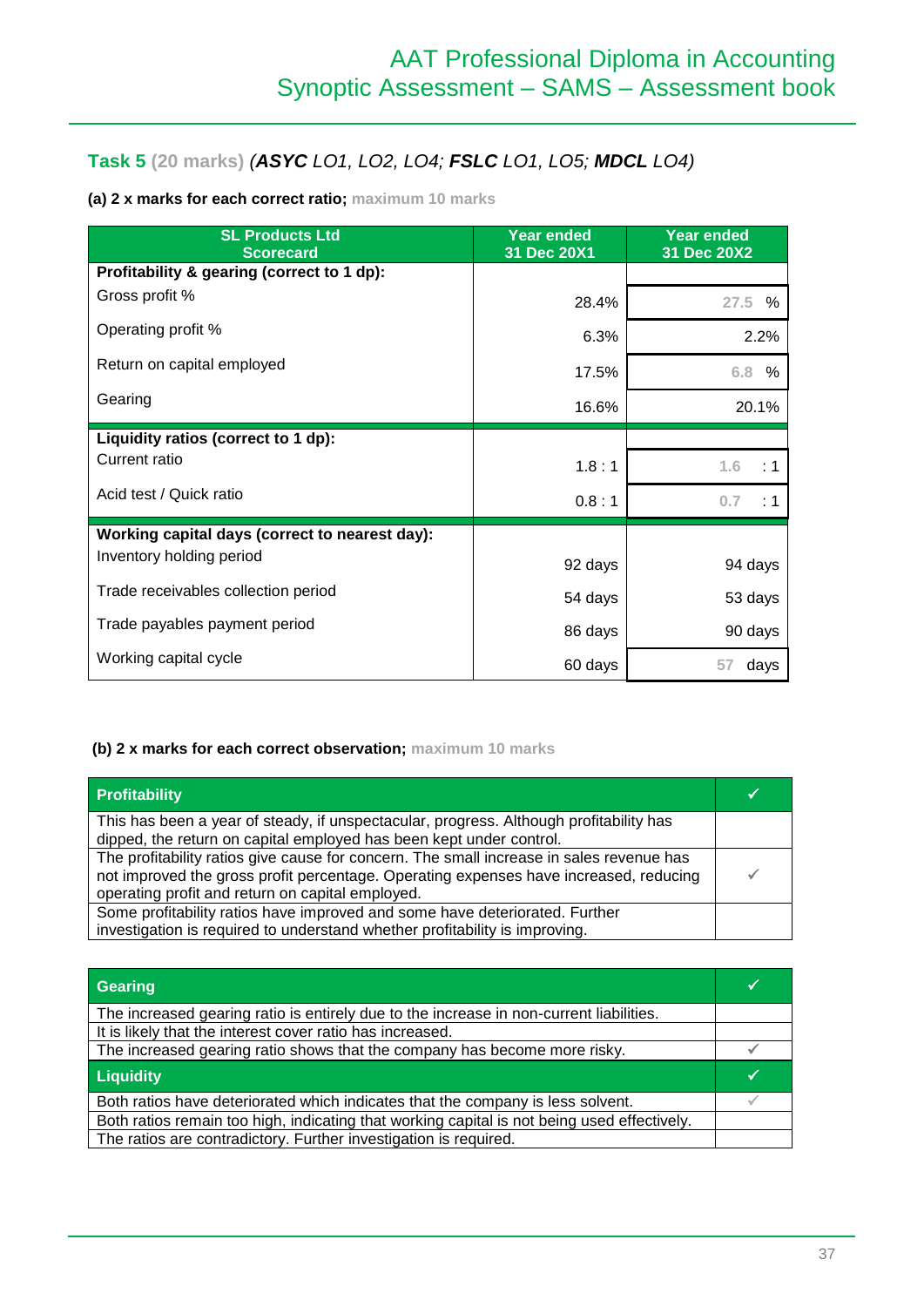## **Task 5 (20 marks)** *(ASYC LO1, LO2, LO4; FSLC LO1, LO5; MDCL LO4)*

### **(a) 2 x marks for each correct ratio; maximum 10 marks**

| <b>SL Products Ltd</b><br><b>Scorecard</b>     | <b>Year ended</b><br>31 Dec 20X1 | <b>Year ended</b><br>31 Dec 20X2 |
|------------------------------------------------|----------------------------------|----------------------------------|
| Profitability & gearing (correct to 1 dp):     |                                  |                                  |
| Gross profit %                                 | 28.4%                            | $27.5\%$                         |
| Operating profit %                             | 6.3%                             | 2.2%                             |
| Return on capital employed                     | 17.5%                            | 6.8<br>%                         |
| Gearing                                        | 16.6%                            | 20.1%                            |
| Liquidity ratios (correct to 1 dp):            |                                  |                                  |
| Current ratio                                  | 1.8:1                            | 1.6<br>: 1                       |
| Acid test / Quick ratio                        | 0.8:1                            | 0.7<br>: 1                       |
| Working capital days (correct to nearest day): |                                  |                                  |
| Inventory holding period                       | 92 days                          | 94 days                          |
| Trade receivables collection period            | 54 days                          | 53 days                          |
| Trade payables payment period                  | 86 days                          | 90 days                          |
| Working capital cycle                          | 60 days                          | 57<br>days                       |

#### **(b) 2 x marks for each correct observation; maximum 10 marks**

| <b>Profitability</b>                                                                     |  |
|------------------------------------------------------------------------------------------|--|
| This has been a year of steady, if unspectacular, progress. Although profitability has   |  |
| dipped, the return on capital employed has been kept under control.                      |  |
| The profitability ratios give cause for concern. The small increase in sales revenue has |  |
| not improved the gross profit percentage. Operating expenses have increased, reducing    |  |
| operating profit and return on capital employed.                                         |  |
| Some profitability ratios have improved and some have deteriorated. Further              |  |
| investigation is required to understand whether profitability is improving.              |  |

| Gearing                                                                                     |  |
|---------------------------------------------------------------------------------------------|--|
| The increased gearing ratio is entirely due to the increase in non-current liabilities.     |  |
| It is likely that the interest cover ratio has increased.                                   |  |
| The increased gearing ratio shows that the company has become more risky.                   |  |
| <b>Liquidity</b>                                                                            |  |
| Both ratios have deteriorated which indicates that the company is less solvent.             |  |
| Both ratios remain too high, indicating that working capital is not being used effectively. |  |
| The ratios are contradictory. Further investigation is required.                            |  |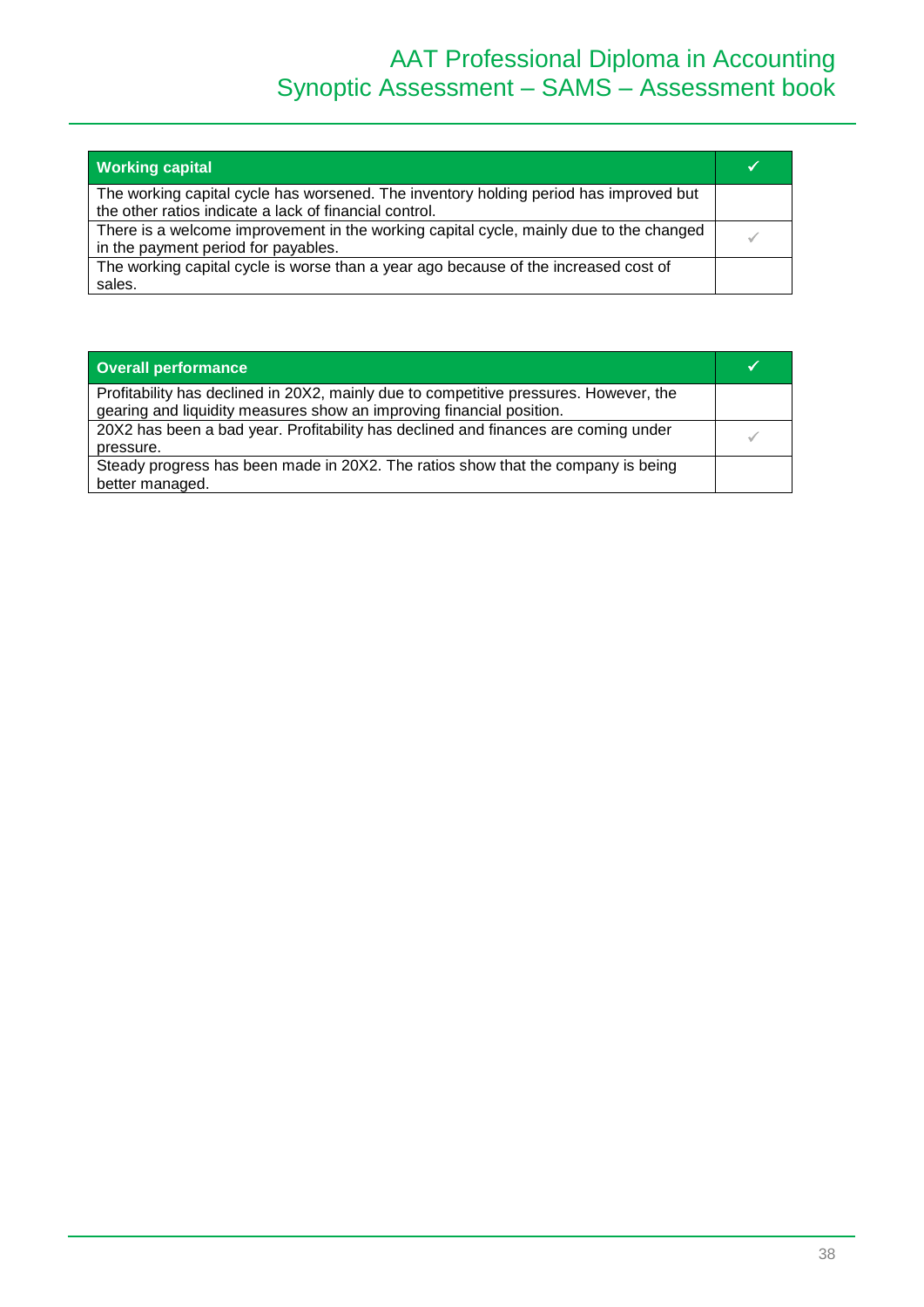| <b>Working capital</b>                                                                                                                          |  |
|-------------------------------------------------------------------------------------------------------------------------------------------------|--|
| The working capital cycle has worsened. The inventory holding period has improved but<br>the other ratios indicate a lack of financial control. |  |
| There is a welcome improvement in the working capital cycle, mainly due to the changed<br>in the payment period for payables.                   |  |
| The working capital cycle is worse than a year ago because of the increased cost of<br>sales.                                                   |  |

| <b>Overall performance</b>                                                                                                                                    |  |
|---------------------------------------------------------------------------------------------------------------------------------------------------------------|--|
| Profitability has declined in 20X2, mainly due to competitive pressures. However, the<br>gearing and liquidity measures show an improving financial position. |  |
| 20X2 has been a bad year. Profitability has declined and finances are coming under<br>pressure.                                                               |  |
| Steady progress has been made in 20X2. The ratios show that the company is being<br>better managed.                                                           |  |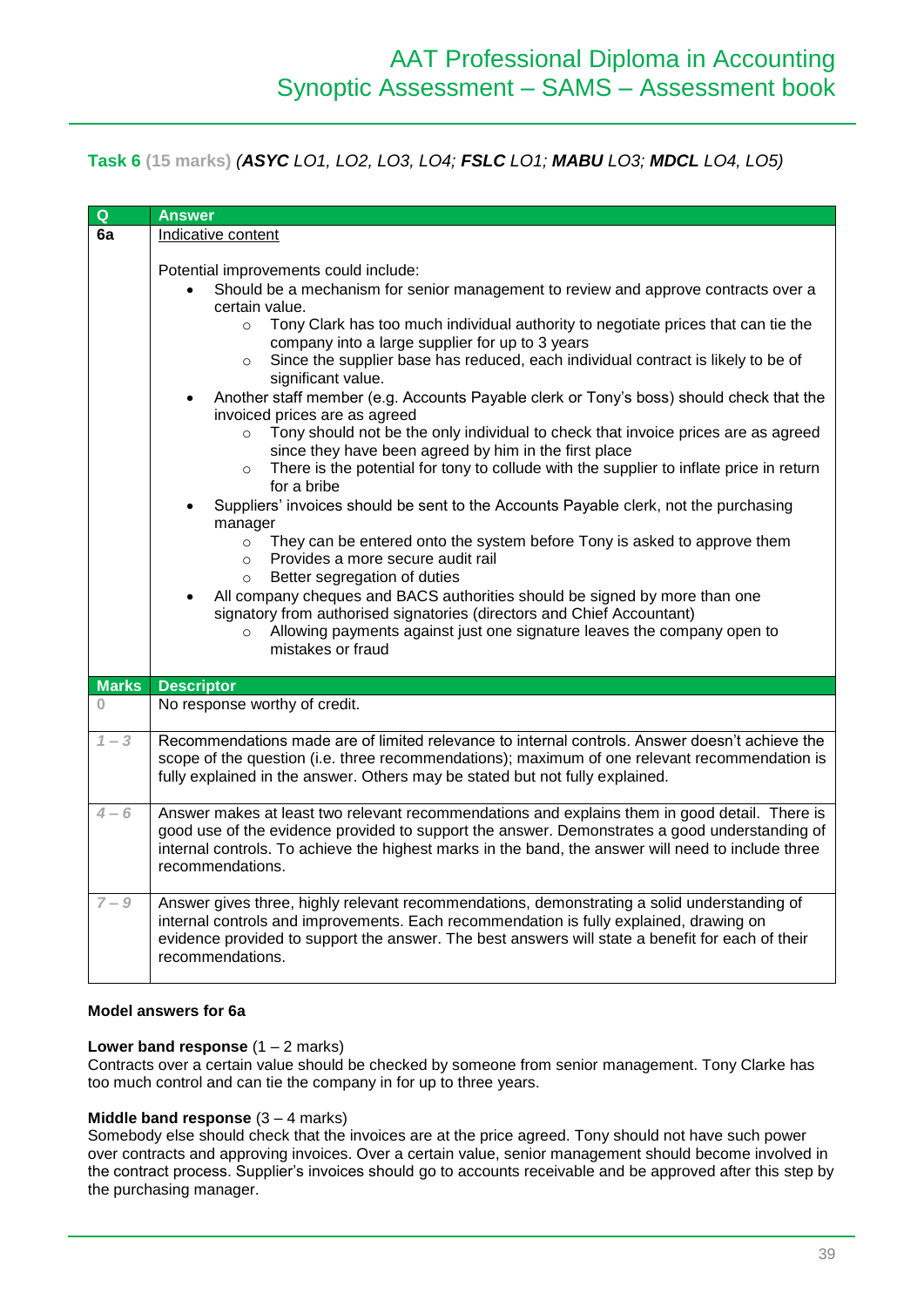### **Task 6 (15 marks)** *(ASYC LO1, LO2, LO3, LO4; FSLC LO1; MABU LO3; MDCL LO4, LO5)*

| $\overline{Q}$ | <b>Answer</b>                                                                                                                                                                                                                                                                                                                                                                                                                                                                                                                                                                                                                                                                                                                                                                                                                                                                                                                                                                                                                                                                                                                                                                                                                                                                                                                                                                                           |
|----------------|---------------------------------------------------------------------------------------------------------------------------------------------------------------------------------------------------------------------------------------------------------------------------------------------------------------------------------------------------------------------------------------------------------------------------------------------------------------------------------------------------------------------------------------------------------------------------------------------------------------------------------------------------------------------------------------------------------------------------------------------------------------------------------------------------------------------------------------------------------------------------------------------------------------------------------------------------------------------------------------------------------------------------------------------------------------------------------------------------------------------------------------------------------------------------------------------------------------------------------------------------------------------------------------------------------------------------------------------------------------------------------------------------------|
| 6a             | Indicative content                                                                                                                                                                                                                                                                                                                                                                                                                                                                                                                                                                                                                                                                                                                                                                                                                                                                                                                                                                                                                                                                                                                                                                                                                                                                                                                                                                                      |
|                | Potential improvements could include:<br>Should be a mechanism for senior management to review and approve contracts over a<br>certain value.<br>Tony Clark has too much individual authority to negotiate prices that can tie the<br>$\circ$<br>company into a large supplier for up to 3 years<br>Since the supplier base has reduced, each individual contract is likely to be of<br>$\circ$<br>significant value.<br>Another staff member (e.g. Accounts Payable clerk or Tony's boss) should check that the<br>$\bullet$<br>invoiced prices are as agreed<br>Tony should not be the only individual to check that invoice prices are as agreed<br>$\circ$<br>since they have been agreed by him in the first place<br>There is the potential for tony to collude with the supplier to inflate price in return<br>$\circ$<br>for a bribe<br>Suppliers' invoices should be sent to the Accounts Payable clerk, not the purchasing<br>manager<br>They can be entered onto the system before Tony is asked to approve them<br>$\circ$<br>Provides a more secure audit rail<br>$\circ$<br>Better segregation of duties<br>$\Omega$<br>All company cheques and BACS authorities should be signed by more than one<br>$\bullet$<br>signatory from authorised signatories (directors and Chief Accountant)<br>Allowing payments against just one signature leaves the company open to<br>mistakes or fraud |
| <b>Marks</b>   | <b>Descriptor</b>                                                                                                                                                                                                                                                                                                                                                                                                                                                                                                                                                                                                                                                                                                                                                                                                                                                                                                                                                                                                                                                                                                                                                                                                                                                                                                                                                                                       |
| $\Omega$       | No response worthy of credit.                                                                                                                                                                                                                                                                                                                                                                                                                                                                                                                                                                                                                                                                                                                                                                                                                                                                                                                                                                                                                                                                                                                                                                                                                                                                                                                                                                           |
| $1 - 3$        | Recommendations made are of limited relevance to internal controls. Answer doesn't achieve the<br>scope of the question (i.e. three recommendations); maximum of one relevant recommendation is<br>fully explained in the answer. Others may be stated but not fully explained.                                                                                                                                                                                                                                                                                                                                                                                                                                                                                                                                                                                                                                                                                                                                                                                                                                                                                                                                                                                                                                                                                                                         |
| $4 - 6$        | Answer makes at least two relevant recommendations and explains them in good detail. There is<br>good use of the evidence provided to support the answer. Demonstrates a good understanding of<br>internal controls. To achieve the highest marks in the band, the answer will need to include three<br>recommendations.                                                                                                                                                                                                                                                                                                                                                                                                                                                                                                                                                                                                                                                                                                                                                                                                                                                                                                                                                                                                                                                                                |
| $7 - 9$        | Answer gives three, highly relevant recommendations, demonstrating a solid understanding of<br>internal controls and improvements. Each recommendation is fully explained, drawing on<br>evidence provided to support the answer. The best answers will state a benefit for each of their<br>recommendations.                                                                                                                                                                                                                                                                                                                                                                                                                                                                                                                                                                                                                                                                                                                                                                                                                                                                                                                                                                                                                                                                                           |

#### **Model answers for 6a**

#### **Lower band response**  $(1 - 2 \text{ marks})$

Contracts over a certain value should be checked by someone from senior management. Tony Clarke has too much control and can tie the company in for up to three years.

#### **Middle band response**  $(3 - 4$  marks)

Somebody else should check that the invoices are at the price agreed. Tony should not have such power over contracts and approving invoices. Over a certain value, senior management should become involved in the contract process. Supplier's invoices should go to accounts receivable and be approved after this step by the purchasing manager.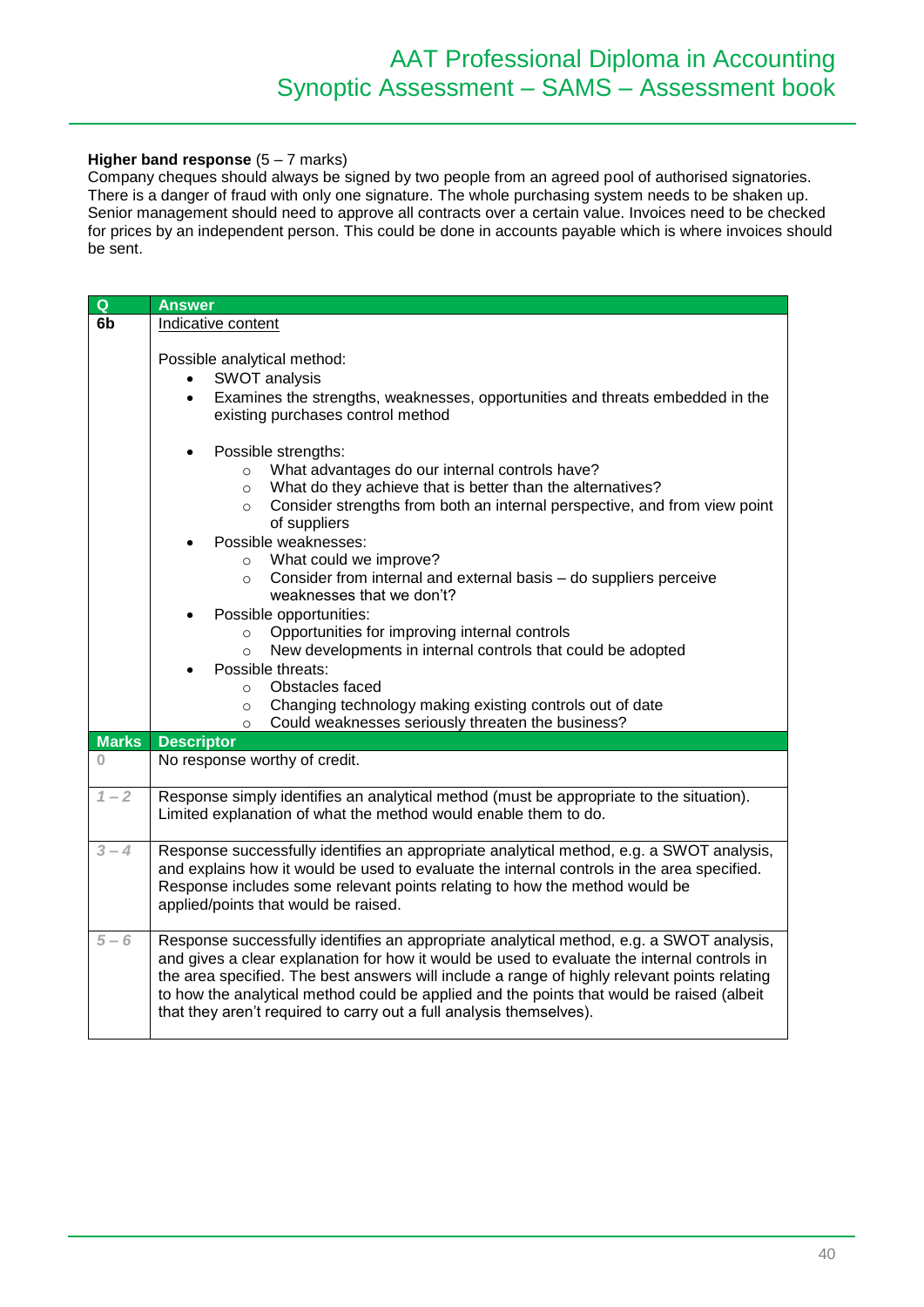#### **Higher band response** (5 – 7 marks)

Company cheques should always be signed by two people from an agreed pool of authorised signatories. There is a danger of fraud with only one signature. The whole purchasing system needs to be shaken up. Senior management should need to approve all contracts over a certain value. Invoices need to be checked for prices by an independent person. This could be done in accounts payable which is where invoices should be sent.

| $\overline{Q}$     | <b>Answer</b>                                                                                                                                                                             |
|--------------------|-------------------------------------------------------------------------------------------------------------------------------------------------------------------------------------------|
| 6 <sub>b</sub>     | Indicative content                                                                                                                                                                        |
|                    |                                                                                                                                                                                           |
|                    | Possible analytical method:                                                                                                                                                               |
|                    | SWOT analysis<br>$\bullet$                                                                                                                                                                |
|                    | Examines the strengths, weaknesses, opportunities and threats embedded in the<br>$\bullet$                                                                                                |
|                    | existing purchases control method                                                                                                                                                         |
|                    |                                                                                                                                                                                           |
|                    | Possible strengths:                                                                                                                                                                       |
|                    | o What advantages do our internal controls have?                                                                                                                                          |
|                    | What do they achieve that is better than the alternatives?<br>$\circ$                                                                                                                     |
|                    | Consider strengths from both an internal perspective, and from view point<br>$\circ$                                                                                                      |
|                    | of suppliers                                                                                                                                                                              |
|                    | Possible weaknesses:                                                                                                                                                                      |
|                    | o What could we improve?                                                                                                                                                                  |
|                    | Consider from internal and external basis - do suppliers perceive<br>$\circ$                                                                                                              |
|                    | weaknesses that we don't?                                                                                                                                                                 |
|                    | Possible opportunities:                                                                                                                                                                   |
|                    | Opportunities for improving internal controls<br>$\circ$                                                                                                                                  |
|                    | New developments in internal controls that could be adopted<br>$\circ$                                                                                                                    |
|                    | Possible threats:<br>Obstacles faced                                                                                                                                                      |
|                    | $\circ$<br>Changing technology making existing controls out of date                                                                                                                       |
|                    | $\circ$<br>Could weaknesses seriously threaten the business?<br>$\circ$                                                                                                                   |
| <b>Marks</b>       | <b>Descriptor</b>                                                                                                                                                                         |
| $\Omega$           | No response worthy of credit.                                                                                                                                                             |
|                    |                                                                                                                                                                                           |
| $1 - 2$            | Response simply identifies an analytical method (must be appropriate to the situation).                                                                                                   |
|                    | Limited explanation of what the method would enable them to do.                                                                                                                           |
|                    |                                                                                                                                                                                           |
| $3 - 4$            | Response successfully identifies an appropriate analytical method, e.g. a SWOT analysis,                                                                                                  |
|                    | and explains how it would be used to evaluate the internal controls in the area specified.                                                                                                |
|                    | Response includes some relevant points relating to how the method would be                                                                                                                |
|                    | applied/points that would be raised.                                                                                                                                                      |
|                    |                                                                                                                                                                                           |
| $\overline{5} - 6$ | Response successfully identifies an appropriate analytical method, e.g. a SWOT analysis,<br>and gives a clear explanation for how it would be used to evaluate the internal controls in   |
|                    |                                                                                                                                                                                           |
|                    | the area specified. The best answers will include a range of highly relevant points relating<br>to how the analytical method could be applied and the points that would be raised (albeit |
|                    | that they aren't required to carry out a full analysis themselves).                                                                                                                       |
|                    |                                                                                                                                                                                           |